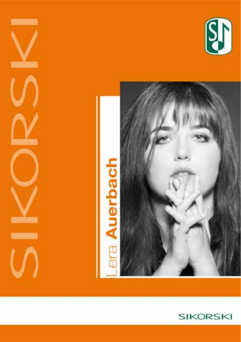







 $\overline{\phantom{a}}$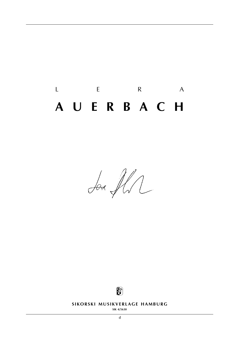# L E R A **a u e r b a c h**

Ser Il



**SIKORSKI MUSIKVERLAGE HAMBURG** 

**sik 4/5630**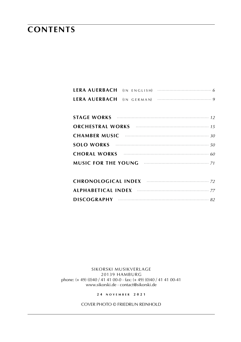## **contents**

| CHAMBER MUSIC $\cdots$ and $\cdots$ and $\cdots$ and $\cdots$ and $\cdots$ |
|----------------------------------------------------------------------------|
| SOLO WORKS $\cdots$ 50                                                     |
| <b>CHORAL WORKS Examples CHORAL WORKS</b>                                  |
| MUSIC FOR THE YOUNG <b>CONTRACTER 1999</b> 71                              |

sikorski Musikverlage 20139 hamburg phone: (+ 49) (0)40 / 41 41 00-0 · fax: (+ 49) (0)40 / 41 41 00-41 www.sikorski.de · contact@sikorski.de

**2 4 n o v e mb e r 2 0 2 1**

cover photo © friedrun reinhold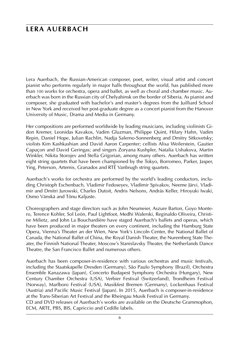## **lera auerbach**

Lera Auerbach, the Russian-American composer, poet, writer, visual artist and concert pianist who performs regularly in major halls throughout the world, has published more than 100 works for orchestra, opera and ballet, as well as choral and chamber music. Auerbach was born in the Russian city of Chelyabinsk on the border of Siberia. As pianist and composer, she graduated with bachelor's and master's degrees from the Juilliard School in New York and received her post-graduate degree as a concert pianist from the Hanover University of Music, Drama and Media in Germany.

Her compositions are performed worldwide by leading musicians, including violinists Gidon Kremer, Leonidas Kavakos, Vadim Gluzman, Philippe Quint, Hilary Hahn, Vadim Repin, Daniel Hope, Julian Rachlin, Nadja Salerno-Sonnenberg and Dmitry Sitkovetsky; violists Kim Kashkashian and David Aaron Carpenter; cellists Alisa Weilerstein, Gautier Capuçon and David Geringas; and singers Zoryana Kushpler, Natalia Ushakova, Martin Winkler, Nikita Storojev and Stella Grigorian, among many others. Auerbach has written eight string quartets that have been championed by the Tokyo, Borromeo, Parker, Jasper, Ying, Peterson, Artemis, Granados and RTÉ Vanbrugh string quartets.

Auerbach's works for orchestra are performed by the world's leading conductors, including Christoph Eschenbach, Vladimir Fedoseyev, Vladimir Spivakov, Neeme Järvi, Vladimir and Dmitri Jurowski, Charles Dutoit, Andris Nelsons, András Keller, Hiroyuki Iwaki, Osmo Vänskä and Tõnu Kaljuste.

Choreographers and stage directors such as John Neumeier, Aszure Barton, Goyo Montero, Terence Kohler, Sol León, Paul Lightfoot, Medhi Walerski, Reginaldo Oliveira, Christine Milietz, and John La Bouchardière have staged Auerbach's ballets and operas, which have been produced in major theaters on every continent, including the Hamburg State Opera, Vienna's Theater an der Wien, New York's Lincoln Center, the National Ballet of Canada, the National Ballet of China, the Royal Danish Theater, the Nuremberg State Theater, the Finnish National Theater, Moscow's Stanislavsky Theater, the Netherlands Dance Theatre, the San Francisco Ballet and numerous others.

Auerbach has been composer-in-residence with various orchestras and music festivals, including the Staatskapelle Dresden (Germany), São Paulo Symphony (Brazil), Orchestra Ensemble Kanazawa (Japan), Concerto Budapest Symphony Orchestra (Hungary), New Century Chamber Orchestra (USA), Verbier Festival (Switzerland), Trondheim Festival (Norway), Marlboro Festival (USA), Musikfest Bremen (Germany), Lockenhaus Festival (Austria) and Pacific Music Festival (Japan). In 2015, Auerbach is composer-in-residence at the Trans-Siberian Art Festival and the Rheingau Musik Festival in Germany.

CD and DVD releases of Auerbach's works are available on the Deutsche Grammophon, ECM, ARTE, PBS, BIS, Capriccio and Cedille labels.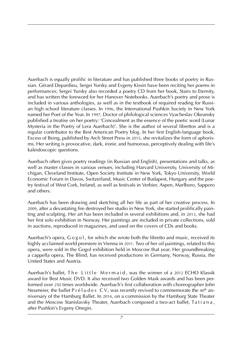Auerbach is equally prolific in literature and has published three books of poetry in Russian. Gérard Depardieu, Sergei Yursky and Evgeny Kissin have been reciting her poems in performances; Sergei Yursky also recorded a poetry CD from her book, Stairs to Eternity, and has written the foreword for her Hanover Notebooks. Auerbach's poetry and prose is included in various anthologies, as well as in the textbook of required reading for Russian high school literature classes. In 1996, the International Pushkin Society in New York named her Poet of the Year. In 1997, Doctor of philological sciences Vyacheslav Okeansky published a treatise on her poetry: 'Concealment as the essence of the poetic word (Lunar Mysteria in the Poetry of Lera Auerbach)'. She is the author of several librettos and is a regular contributor to the Best American Poetry blog. In her first English-language book, Excess of Being, published by Arch Street Press in 2015, she revitalizes the form of aphorisms. Her writing is provocative, dark, ironic and humorous, perceptively dealing with life's kaleidoscopic questions.

Auerbach often gives poetry readings (in Russian and English), presentations and talks, as well as master classes in various venues, including Harvard University, University of Michigan, Cleveland Institute, Open Society Institute in New York, Tokyo University, World Economic Forum in Davos, Switzerland, Music Center of Budapest, Hungary and the poetry festival of West Cork, Ireland, as well as festivals in Verbier, Aspen, Marlboro, Sapporo and others.

Auerbach has been drawing and sketching all her life as part of her creative process. In 2009, after a devastating fire destroyed her studio in New York, she started prolifically painting and sculpting. Her art has been included in several exhibitions and, in 2013, she had her first solo exhibition in Norway. Her paintings are included in private collections, sold in auctions, reproduced in magazines, and used on the covers of CDs and books.

Auerbach's opera, G o g o l, for which she wrote both the libretto and music, received its highly acclaimed world premiere in Vienna in 2011. Two of her oil paintings, related to this opera, were sold in the Gogol exhibition held in Moscow that year. Her groundbreaking a cappella opera, The Blind, has received productions in Germany, Norway, Russia, the United States and Austria.

Auerbach's ballet, The Little Mermaid, was the winner of a 2012 ECHO Klassik award for Best Music DVD. It also received two Golden Mask awards and has been performed over 250 times worldwide. Auerbach's first collaboration with choreographer John Neumeier, the ballet P r é l u d e s  $CV$ , was recently revived to commemorate the 40<sup>th</sup> anniversary of the Hamburg Ballet. In 2014, on a commission by the Hamburg State Theater and the Moscow Stanislavsky Theater, Auerbach composed a two-act ballet, Tatiana, after Pushkin's Evgeny Onegin.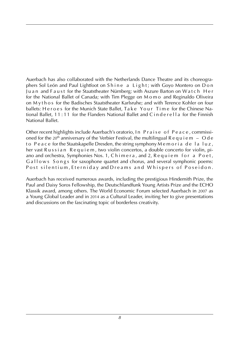Auerbach has also collaborated with the Netherlands Dance Theatre and its choreographers Sol León and Paul Lightfoot on Shine a Light; with Goyo Montero on Don Juan and Faust for the Staatstheater Nürnberg; with Aszure Barton on Watch Her for the National Ballet of Canada; with Tim Plegge on M o m o and Reginaldo Oliveira on M y t h o s for the Badisches Staatstheater Karlsruhe; and with Terence Kohler on four ballets: H e r o e s for the Munich State Ballet, Ta k e Your Time for the Chinese National Ballet, 11:11 for the Flanders National Ballet and C in de rella for the Finnish National Ballet.

Other recent highlights include Auerbach's oratorio, In Praise of Peace, commissioned for the 20<sup>th</sup> anniversary of the Verbier Festival, the multilingual R e q u i e m – O d e to Peace for the Staatskapelle Dresden, the string symphony  $\overline{M}$  e moria de la luz, her vast Russian Requiem, two violin concertos, a double concerto for violin, piano and orchestra, Symphonies Nos. 1, Chimera, and 2, Requiem for a Poet, G allows Songs for saxophone quartet and chorus, and several symphonic poems: Post silentium, Eterniday and Dreams and Whispers of Poseidon.

Auerbach has received numerous awards, including the prestigious Hindemith Prize, the Paul and Daisy Soros Fellowship, the Deutschlandfunk Young Artists Prize and the ECHO Klassik award, among others. The World Economic Forum selected Auerbach in 2007 as a Young Global Leader and in 2014 as a Cultural Leader, inviting her to give presentations and discussions on the fascinating topic of borderless creativity.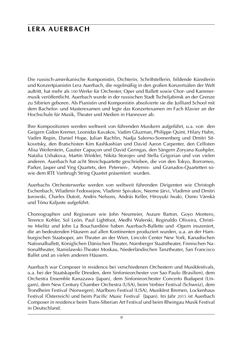## **lera auerbach**

Die russisch-amerikanische Komponistin, Dichterin, Schriftstellerin, bildende Künstlerin und Konzertpianistin Lera Auerbach, die regelmäßig in den großen Konzertsälen der Welt auftritt, hat mehr als 100 Werke für Orchester, Oper und Ballett sowie Chor- und Kammermusik veröffentlicht. Auerbach wurde in der russischen Stadt Tscheljabinsk an der Grenze zu Sibirien geboren. Als Pianistin und Komponistin absolvierte sie die Juilliard School mit dem Bachelor- und Masterexamen und legte das Konzertexamen im Fach Klavier an der Hochschule für Musik, Theater und Medien in Hannover ab.

Ihre Kompositionen werden weltweit von führenden Musikern aufgeführt, u.a. von den Geigern Gidon Kremer, Leonidas Kavakos, Vadim Gluzman, Philippe Quint, Hilary Hahn, Vadim Repin, Daniel Hope, Julian Rachlin, Nadja Salerno-Sonnenberg und Dmitri Sitkovetsky, den Bratschisten Kim Kashkashian und David Aaron Carpenter, den Cellisten Alisa Weilerstein, Gautier Capuçon und David Geringas, den Sängern Zoryana Kushpler, Natalia Ushakova, Martin Winkler, Nikita Storojev und Stella Grigorian und von vielen anderen. Auerbach hat acht Streichquartette geschrieben, die von den Tokyo, Borromeo, Parker, Jasper und Ying Quartets, den Petersen-, Artemis- und Granados-Quartetten sowie dem RTE Vanbrugh String Quartet präsentiert wurden.

Auerbachs Orchesterwerke werden von weltweit führenden Dirigenten wie Christoph Eschenbach, Wladimir Fedossejew, Vladimir Spivakov, Neeme Järvi, Vladimir und Dmitri Jurowski, Charles Dutoit, Andris Nelsons, András Keller, Hiroyuki Iwaki, Osmo Vänskä und Tõnu Kaljuste aufgeführt.

Choreographen und Regisseure wie John Neumeier, Aszure Barton, Goyo Montero, Terence Kohler, Sol León, Paul Lightfoot, Medhi Walerski, Reginaldo Oliveira, Christine Mielitz und John La Bouchardière haben Auerbach-Ballette und -Opern inszeniert, die an bedeutenden Häusern auf allen Kontinenten produziert wurden, u.a. an der Hamburgischen Staatsoper, am Theater an der Wien, Lincoln Center New York, Kanadischen Nationalballett, Königlichen Dänischen Theater, Nürnberger Staatstheater, Finnischen Nationaltheater, Stanislawski-Theater Moskau, Niederländischen Tanztheater, San Francisco Ballet und an vielen anderen Häusern.

Auerbach war Composer in residence bei verschiedenen Orchestern und Musikfestivals, u.a. bei der Staatskapelle Dresden, dem Sinfonieorchester von Sao Paulo (Brasilien), dem Orchestra Ensemble Kanazawa (Japan), dem Sinfonieorchester Concerto Budapest (Ungarn), dem New Century Chamber Orchestra (USA), beim Verbier Festival (Schweiz), dem Trondheim Festival (Norwegen), Marlboro Festival (USA), Musikfest Bremen, Lockenhaus Festival (Österreich) und beim Pacific Music Festival (Japan). Im Jahr 2015 ist Auerbach Composer in residence beim Trans-Siberian Art Festival und beim Rheingau Musik Festival in Deutschland.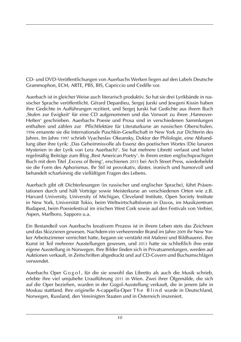CD- und DVD-Veröffentlichungen von Auerbachs Werken liegen auf den Labels Deutsche Grammophon, ECM, ARTE, PBS, BIS, Capriccio und Cedille vor.

Auerbach ist in gleicher Weise auch literarisch produktiv. So hat sie drei Lyrikbände in russischer Sprache veröffentlicht. Gérard Depardieu, Sergej Jurski und Jewgeni Kissin haben ihre Gedichte in Aufführungen rezitiert, und Sergej Jurski hat Gedichte aus ihrem Buch ,Stufen zur Ewigkeit' für eine CD aufgenommen und das Vorwort zu ihren ,Hannover-Heften' geschrieben. Auerbachs Poesie und Prosa sind in verschiedenen Sammlungen enthalten und zählen zur Pflichtlektüre für Literaturkurse an russischen Oberschulen. 1996 ernannte sie die Internationale Puschkin-Gesellschaft in New York zur Dichterin des Jahres. Im Jahre 1997 schrieb Vyacheslav Okeansky, Doktor der Philologie, eine Abhandlung über ihre Lyrik: ,Das Geheimnisvolle als Essenz des poetischen Wortes (Die lunaren Mysterien in der Lyrik von Lera Auerbach)'. Sie hat mehrere Libretti verfasst und liefert regelmäßig Beiträge zum Blog ,Best American Poetry'. In ihrem ersten englischsprachigen Buch mit dem Titel ,Excess of Being', erschienen 2015 bei Arch Street Press, wiederbelebt sie die Form des Aphorismus. Ihr Stil ist provokativ, düster, ironisch und humorvoll und behandelt scharfsinnig die vielfältigen Fragen des Lebens.

Auerbach gibt oft Dichterlesungen (in russischer und englischer Sprache), führt Präsentationen durch und hält Vorträge sowie Meisterkurse an verschiedenen Orten wie z.B. Harvard University, University of Michigan, Cleveland Institute, Open Society Institute in New York, Universität Tokio, beim Weltwirtschaftsforum in Davos, im Musikzentrum Budapest, beim Poesiefestival im irischen West Cork sowie auf den Festivals von Verbier, Aspen, Marlboro, Sapporo u.a.

Ein Bestandteil von Auerbachs kreativem Prozess ist in ihrem Leben stets das Zeichnen und das Skizzieren gewesen. Nachdem ein verheerender Brand im Jahre 2009 ihr New Yorker Arbeitszimmer vernichtet hatte, begann sie verstärkt mit Malerei und Bildhauerei. Ihre Kunst ist Teil mehrerer Ausstellungen gewesen, und 2013 hatte sie schließlich ihre erste eigene Ausstellung in Norwegen. Ihre Bilder finden sich in Privatsammlungen, werden auf Auktionen verkauft, in Zeitschriften abgedruckt und auf CD-Covern und Buchumschlägen verwendet.

Auerbachs Oper G o g o l, für die sie sowohl das Libretto als auch die Musik schrieb, erlebte ihre viel umjubelte Uraufführung 2011 in Wien. Zwei ihrer Ölgemälde, die sich auf die Oper beziehen, wurden in der Gogol-Ausstellung verkauft, die in jenem Jahr in Moskau stattfand. Ihre originelle A-cappella-Oper The Blind wurde in Deutschland, Norwegen, Russland, den Vereinigten Staaten und in Österreich inszeniert.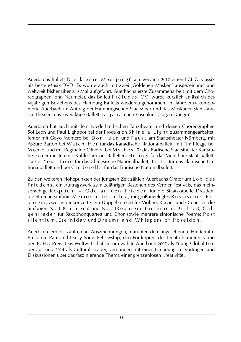Auerbachs Ballett Die kleine Meerjungfrau gewann 2012 einen ECHO Klassik als beste Musik-DVD. Es wurde auch mit zwei ,Goldenen Masken' ausgezeichnet und weltweit bisher über 250 Mal aufgeführt. Auerbachs erste Zusammenarbeit mit dem Choreographen John Neumeier, das Ballett P r é l u d e s CV, wurde kürzlich anlässlich des 40jährigen Bestehens des Hamburg Balletts wiederaufgenommen. Im Jahre 2014 komponierte Auerbach im Auftrag der Hamburgischen Staatsoper und des Moskauer Stanislawski-Theaters das zweiaktige Ballett Ta t j a n a nach Puschkins , Eugen Onegin'.

Auerbach hat auch mit dem Niederländischen Tanztheater und dessen Choreographen Sol León und Paul Lightfoot bei der Produktion Shine a Light zusammengearbeitet, ferner mit Goyo Montero bei D o n J u a n und F a u st am Staatstheater Nürnberg, mit Aszure Barton bei Watch Her für das Kanadische Nationalballett, mit Tim Plegge bei M o m o und mit Reginaldo Oliveira bei M y t h o s für das Badische Staatstheater Karlsruhe. Ferner mit Terence Kohler bei vier Balletten: H e r o e s für das Münchner Staatsballett, Ta k e Your Time für das Chinesische Nationalballett, 11:11 für das Flämische Nationalballett und bei C i n d e r e l l a für das Finnische Nationalballett.

Zu den weiteren Höhepunkten der jüngsten Zeit zählen Auerbachs Oratorium L o b d e s F r i e d e n s , ein Auftragswerk zum 20jährigen Bestehen des Verbier Festivals, das mehrsprachige Requiem – Ode an den Frieden für die Staatskapelle Dresden, die Streichersinfonie M e m o r i a d e l a luz, ihr großangelegtes R ussisches R e q u i e m , zwei Violinkonzerte, ein Doppelkonzert für Violine, Klavier und Orchester, die Sinfonien Nr. 1 (Chimera) und Nr. 2 (Requiem für einen Dichter), Galgen lieder für Saxophonquartett und Chor sowie mehrere sinfonische Poeme: Post silentium, Eterniday und Dreams and Whispers of Poseidon.

Auerbach erhielt zahlreiche Auszeichnungen, darunter den angesehenen Hindemith-Preis, die Paul and Daisy Soros Fellowship, den Förderpreis des Deutschlandfunks und den ECHO-Preis. Das Weltwirtschaftsforum wählte Auerbach 2007 als Young Global Leader aus und 2014 als Cultural Leader, verbunden mit einer Einladung zu Vorträgen und Diskussionen über das faszinierende Thema einer grenzenlosen Kreativität.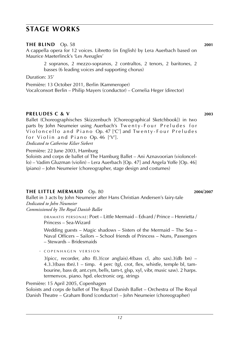### **stage works**

Maurice Maeterlinck's 'Les Aveugles'

termenvox. piano. hpd. electronic org. strings Première: 15 April 2005, Copenhagen

· c o p e n h a g e n v e r s i o n

Soloists and corps de ballet of The Royal Danish Ballet – Orchestra of The Royal Danish Theatre – Graham Bond (conductor) – John Neumeier (choreographer)

(piano) – John Neumeier (choreographer, stage design and costumes)

#### **the little mermaid** Op. 80 **2004**/**2007**

Ballet in 3 acts by John Neumeier after Hans Christian Andersen's fairy-tale *Dedicated to John Neumeier*

*Commissioned by The Royal Danish Ballet*

d r a m at i s p e r s o n a e : Poet – Little Mermaid – Edvard / Prince – Henrietta / Princess – Sea-Wizard

Wedding guests – Magic shadows – Sisters of the Mermaid – The Sea – Naval Officers – Sailors – School friends of Princess – Nuns, Passengers – Stewards – Bridesmaids

 $3(pice, recorder, alto fl).3(cor anglais).4(bass cl, alto sax).3(db bn) –$ 4.3.3(bass tbn).1 – timp. 4 perc (tgl, crot, flex, whistle, temple bl, tambourine, bass dr, ant.cym, bells, tam-t, glsp, xyl, vibr, music saw). 2 harps.

basses (6 leading voices and supporting chorus) Duration: 35'

A cappella opera for 12 voices. Libretto (in English) by Lera Auerbach based on

2 sopranos, 2 mezzo-sopranos, 2 contraltos, 2 tenors, 2 baritones, 2

Première: 13 October 2011, Berlin (Kammeroper) Vocalconsort Berlin – Philip Mayers (conductor) – Cornelia Heger (director)

#### **PRELUDES C & V** 2003

Ballet (Choreographisches Skizzenbuch [Choreographical Sketchbook]) in two parts by John Neumeier using Auerbach's Twenty-Four Preludes for Violoncello and Piano Op. 47  $[°C]$  and Twenty-Four Preludes for Violin and Piano Op. 46  $[V']$ . *Dedicated to Catherine Kilser Siebert*

Première: 22 June 2003, Hamburg Soloists and corps de ballet of The Hamburg Ballet – Ani Aznavoorian (violoncello) – Vadim Gluzman (violin) – Lera Auerbach [Op. 47] and Angela Yoffe [Op. 46]

**THE BLIND** Op. 58 **2001**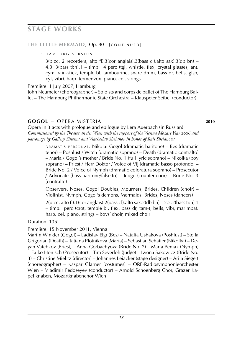### **stage works**

#### THE LITTLE MERMAID, Op. 80 [ CONTINUED]

• HAMBURG VERSION

3(picc, 2 recorders, alto fl).3(cor anglais).3(bass cl).alto sax).3(db bn) – 4.3. 3(bass tbn).1 – timp. 4 perc (tgl, whistle, flex, crystal glasses, ant. cym, rain-stick, temple bl, tambourine, snare drum, bass dr, bells, glsp, xyl, vibr). harp. termenvox. piano. cel. strings

Première: 1 July 2007, Hamburg

John Neumeier (choreographer) – Soloists and corps de ballet of The Hamburg Ballet – The Hamburg Philharmonic State Orchestra – Klauspeter Seibel (conductor)

#### **gogol** – opera misteria **2010**

Opera in 3 acts with prologue and epilogue by Lera Auerbach (in Russian) Commissioned by the Theater an der Wien with the support of the Vienna Mozart Year 2006 and *patronage by Gallery Sistema and Viacheslav Sheianov in honor of Rais Sheianova*

> DRAMATIS PERSONAE: Nikolai Gogol (dramatic baritone) – Bes (dramatic tenor) – Poshlust / Witch (dramatic soprano) – Death (dramatic contralto) – Maria / Gogol's mother / Bride No. 1 (full lyric soprano) – Nikolka (boy soprano) – Priest / Herr Doktor / Voice of Vij (dramatic basso profondo) – Bride No. 2 / Voice of Nymph (dramatic coloratura soprano) – Prosecutor / Advocate (bass-baritone/falsetto) – Judge (countertenor) – Bride No. 3 (contralto)

> Observers, Noses, Gogol Doubles, Mourners, Brides, Children (choir) – Violinist, Nymph, Gogol's demons, Mermaids, Brides, Noses (dancers)

> $2(pice, alto fl).1(cor anglais).2(bass cl).alto sax.2(db bn) - 2.2.2(bass tbn).1$ – timp. perc (crot, temple bl, flex, bass dr, tam-t, bells, vibr, marimba). harp. cel. piano. strings – boys' choir, mixed choir

Duration: 135'

Première: 15 November 2011, Vienna

Martin Winkler (Gogol) – Ladislav Elgr (Bes) – Natalia Ushakova (Poshlust) – Stella Grigorian (Death) – Tatiana Plotnikova (Maria) – Sebastian Schaffer (Nikolka) – Deyan Vatchkov (Priest) – Anna Gorbachyova (Bride No. 2) – Maria Peniaz (Nymph) – Falko Hönisch (Prosecutor) – Tim Severloh (Judge) – Iwona Sakowicz (Bride No. 3) – Christine Mielitz (director) – Johannes Leiacker (stage designer) – Arila Siegert (choreographer) – Kaspar Glarner (costumes) – ORF-Radiosymphonieorchester Wien – Vladimir Fedoseyev (conductor) – Arnold Schoenberg Chor, Grazer Kapellknaben, Mozartknabenchor Wien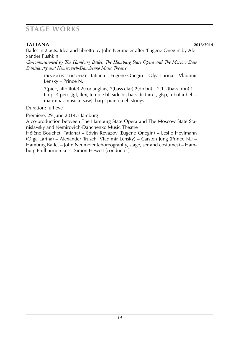### **stage works**

**tational** *a* **14TIANA** 2013/2014 Ballet in 2 acts. Idea and libretto by John Neumeier after 'Eugene Onegin' by Alexander Pushkin

*Co-commissioned by The Hamburg Ballet, The Hamburg State Opera and The Moscow State Stanislavsky and Nemirovich-Danchenko Music Theatre*

> DRAMATIS PERSONAE: Tatiana – Eugene Onegin – Olga Larina – Vladimir Lensky – Prince N.

> $3(picc, alto flucte).2(cor anglais).2(bass clar).2(db bn) - 2.1.2(bass trbn).1$ timp. 4 perc (tgl, flex, temple bl, side dr, bass dr, tam-t, glsp, tubular bells, marimba, musical saw). harp. piano. cel. strings

Duration: full eve

Première: 29 June 2014, Hamburg

A co-production between The Hamburg State Opera and The Moscow State Stanislavsky and Nemirovich-Danchenko Music Theatre

Hélène Bouchet (Tatiana) – Edvin Revazov (Eugene Onegin) – Leslie Heylmann (Olga Larina) – Alexander Trusch (Vladimir Lensky) – Carsten Jung (Prince N.) – Hamburg Ballet – John Neumeier (choreography, stage, ser and costumes) – Hamburg Philharmoniker – Simon Hewett (conductor)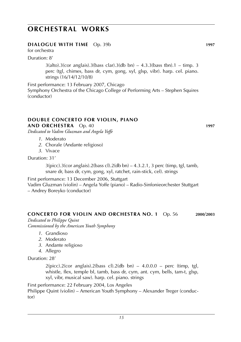### **DIALOGUE WITH TIME** Op. 39b **1997**

for orchestra

Duration: 8'

 $3(alto).3(cor analysis).3(bass clar).3(db bn) - 4.3.3(bass tbn).1 - timp.3$ perc (tgl, chimes, bass dr, cym, gong, xyl, glsp, vibr). harp. cel. piano. strings (16/14/12/10/8)

First performance: 13 February 2007, Chicago Symphony Orchestra of the Chicago College of Performing Arts – Stephen Squires (conductor)

### **DOUBLE CONCERTO FOR VIOLIN, piano**

**AND ORCHESTRA** Op. 40 **1997**

*Dedicated to Vadim Gluzman and Angela Yoffe*

- *1*. Moderato
- *2*. Chorale (Andante religioso)
- *3*. Vivace

Duration: 31'

 $3(pice).3(cor \text{ anglais}).2(bass \text{ cl}).2(db \text{ bn}) - 4.3.2.1, 3 \text{ perc (timp, tgl, tamb)}$ snare dr, bass dr, cym, gong, xyl, ratchet, rain-stick, cel). strings

First performance: 13 December 2006, Stuttgart

Vadim Gluzman (violin) – Angela Yoffe (piano) – Radio-Sinfonieorchester Stuttgart

– Andrey Boreyko (conductor)

### **CONCERTO FOR VIOLIN AND ORCHESTRA No. 1** Op. 56 **2000**/**2003**

*Dedicated to Philippe Quint Commissioned by the American Youth Symphony*

- *1*. Grandioso
- *2*. Moderato
- *3*. Andante religioso
- *4*. Allegro

Duration: 28'

 $2(picc)$ .  $2(cor$  anglais).  $2(bass$  cl).  $2(db$  bn)  $-4.0.0.0$  – perc (timp, tgl, whistle, flex, temple bl, tamb, bass dr, cym, ant. cym, bells, tam-t, glsp, xyl, vibr, musical saw). harp. cel. piano. strings

First performance: 22 February 2004, Los Angeles Philippe Quint (violin) – American Youth Symphony – Alexander Treger (conductor)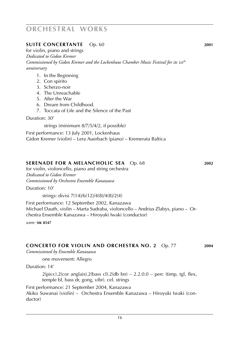### **SUITE CONCERTANTE** Op. 60 **2001**

for violin, piano and strings *Dedicated to Gidon Kremer Commissioned by Gidon Kremer and the Lockenhaus Chamber Music Festival for its* 20th *anniversary*

- 1. In the Beginning
- 2. Con spirito
- 3. Scherzo-noir
- 4. The Unreachable
- 5. After the War
- 6. Dream from Childhood.
- 7. Toccata of Life and the Silence of the Past

Duration: 30'

strings (minimum 8/7/5/4/2, if possible)

First performance: 13 July 2001, Lockenhaus Gidon Kremer (violin) – Lera Auerbach (piano) – Kremerata Baltica

#### **SERENADE FOR A MELANCHOLIC SEA** Op. 68 **2002**

for violin, violoncello, piano and string orchestra *Dedicated to Gidon Kremer Commissioned by Orchestra Ensemble Kanazawa*

Duration: 10'

strings: divisi 7(14)/6(12)/4(8)/4(8)/2(4)

First performance: 12 September 2002, Kanazawa Michael Dauth, violin – Marta Sudraba, violoncello – Andrius Zlabys, piano – Orchestra Ensemble Kanazawa – Hiroyuki Iwaki (conductor)

*score:* **sik 8547**

#### **CONCERTO FOR VIOLIN AND ORCHESTRA No. 2** Op. 77 **2004**

*Commissioned by Ensemble Kanazawa*

one movement: Allegro

Duration: 14'

 $2(pice).2(cor$  anglais).  $2(bass$  cl).  $2(db$  bn)  $- 2.2.0.0$  – perc (timp, tgl, flex, temple bl, bass dr, gong, vibr). cel. strings

First performance: 21 September 2004, Kanazawa Akiko Suwanai (violin) – Orchestra Ensemble Kanazawa – Hiroyuki Iwaki (conductor)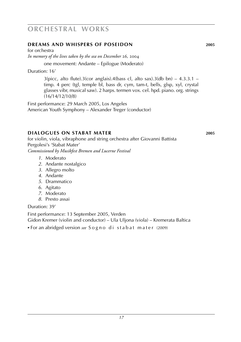### **dreams and whispers of poseidon 2005**

for orchestra

*In memory of the lives taken by the sea on December* 26*,* 2004

one movement: Andante – Epilogue (Moderato)

Duration: 16'

 $3(picc, alto flucte).3(cor anglais).4(bass cl, alto sax).3(db bn) – 4.3.3.1 –$ timp. 4 perc (tgl, temple bl, bass dr, cym, tam-t, bells, glsp, xyl, crystal glasses vibr, musical saw). 2 harps. termen vox. cel. hpd. piano. org. strings (16/14/12/10/8)

First performance: 29 March 2005, Los Angeles American Youth Symphony – Alexander Treger (conductor)

#### **dialogues on stabat mater 2005**

for violin, viola, vibraphone and string orchestra after Giovanni Battista Pergolesi's 'Stabat Mater' *Commissioned by Musikfest Bremen and Lucerne Festival*

- *1*. Moderato
- *2*. Andante nostalgico
- *3*. Allegro molto
- *4*. Andante
- *5*. Drammatico
- *6*. Agitato
- *7*. Moderato
- *8*. Presto assai

Duration: 39'

First performance: 13 September 2005, Verden Gidon Kremer (violin and conductor) – Ula Uljona (viola) – Kremerata Baltica

► For an abridged version *see* Sogno di stabat mater (2009)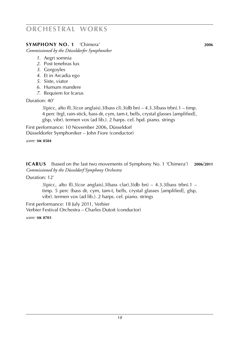### **symphony no. 1** 'Chimera' **2006**

*Commissioned by the Düsseldorfer Symphoniker*

- *1*. Aegri somnia
- *2*. Post tenebras lux
- *3*. Gorgoyles
- *4*. Et in Arcadia ego
- *5*. Siste, viator
- *6*. Humum mandere
- *7*. Requiem for Icarus

Duration: 40'

 $3(pice, alto fl).3(cor anglais).3(bass cl).3(db bn) – 4.3.3(bass trbn).1 – timp.$ 4 perc (trgl, rain-stick, bass dr, cym, tam-t, bells, crystal glasses [amplified], glsp, vibr). termen vox (ad lib.). 2 harps. cel. hpd. piano. strings

First performance: 10 November 2006, Düsseldorf Düsseldorfer Symphoniker – John Fiore (conductor)

*score:* **sik 8584**

**icarus** (based on the last two movements of Symphony No. 1 'Chimera') **2006**/**2011** *Commissioned by the Düsseldorf Symphony Orchestra*

Duration: 12'

 $3(pice, alto fl).3(cor anglais).3(bass clar).3(db bn) - 4.3.3(bass trbn).1$ timp. 5 perc (bass dr, cym, tam-t, bells, crystal glasses [amplified], glsp, vibr). termen vox (ad lib.). 2 harps. cel. piano. strings

First performance: 18 July 2011, Verbier Verbier Festival Orchestra – Charles Dutoit (conductor)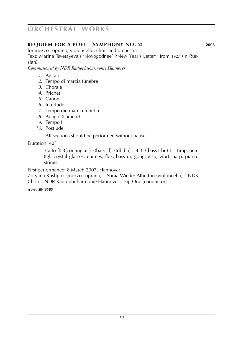### **requiem for a poet** (**Symphony No. 2**) **2006**

for mezzo-soprano, violoncello, choir and orchestra Text: Marina Tsvetayeva's 'Novogodnee' ['New Year's Letter'] from 1927 (in Russian)

*Commissioned by NDR Radiophilharmonie Hannover*

- *1*. Agitato
- *2*. Tempo di marcia funebre
- *3*. Chorale
- *4*. Prichet
- *5*. Canon
- *6*. Interlude
- *7*. Tempo die marcia funebre
- *8*. Adagio (Lament)
- *9*. Tempo I
- *10*. Postlude

All sections should be performed without pause.

Duration: 42'

 $3$ (alto fl).3(cor anglais).3(bass cl).3(db bn) – 4.3.3(bass trbn).1 – timp, perc (tgl, crystal glasses, chimes, flex, bass dr, gong, glsp, vibr). harp. piano. strings

First performance: 8 March 2007, Hannover

Zoryana Kushpler (mezzo-soprano) – Sonia Wieder-Atherton (violoncello) – NDR Choir – NDR Radiophilharmonie Hannover – Eiji Oué (conductor)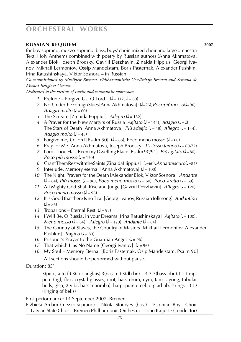#### **russian requiem 2007**

for boy soprano, mezzo-soprano, bass, boys' choir, mixed choir and large orchestra Text: Holy Anthems combined with poetry by Russian authors (Anna Akhmatova, Alexander Blok, Joseph Brodsky, Gavriil Derzhavin, Zinaida Hippius, Georgi Ivanov, Mikhail Lermontov, Ossip Mandelstam, Boris Pasternak, Alexander Pushkin, Irina Ratushinskaya, Viktor Sosnora – in Russian)

*Co-commissioned by Musikfest Bremen, Philharmonische Gesellschaft Bremen and Semana de Música Religiosa Cuenca*

*Dedicated to the victims of tsarist and communist oppression*

- *1.* Prelude Forgive Us, O Lord  $\left( \right) = 112, \, \left( \right) = 60$
- 2. Not Under the Foreign Skies [Anna Akhmatova] ( $J=76$ ), *Pocopiù mosso* ( $J=96$ ), *Adagio molto*  $(l = 60)$
- *3.* The Scream [Zinaida Hippius] *Allegro* ( $J = 132$ )
- *4.* A Prayer for the New Martyrs of Russia *Agitato* ( $= 144$ ), *Adagio* ( $= 1$ ) The Stars of Death [Anna Akhmatova] *Più adagio* ( $=$  48), *Allegro* ( $=$  144), *Adagio molto*  $(J = 48)$
- *5*. Forgive me, O Lord [Psalm 50]  $(l = 88)$ , Poco meno mosso  $(l = 60)$
- *6.* Pray for Me [Anna Akhmatova, Joseph Brodsky] *L'istesso tempo* ( $J = 60-72$ )
- *7.* Lord, Thou Hast Been my Dwelling Place [Psalm 90/91] *Più agitato* ( $J = 80$ ), *Poco più mosso*  $(J = 120)$
- 8. Grant Them Rest with the Saints [Zinaida Hippius] ( $\epsilon$ =60), *Andantescuro* ( $\epsilon$ =84)
- *9.* Interlude. Memory eternal [Anna Akhmatova] ( $J = 100$ )
- *10*. The Night. Prayers for the Death [Alexander Blok, Viktor Sosnora] *Andante*  $(J = 84)$ , *Più mosso*  $(J = 96)$ , *Poco meno mosso*  $(J = 60)$ , *Poco stretto*  $(J = 69)$
- 11. All Mighty God Shall Rise and Judge [Gavriil Derzhavin] *Allegro* ( $J = 120$ ), *Poco meno mosso*  $\mathcal{L} = 96$
- *12*. It is Good that there Is no Tzar [Georgi Ivanov, Russian folk song) *Andantino*  $\mathcal{L} = 86$
- 13. Troparions Eternal Rest  $(l = 92)$
- 14. I Will Be, O Russia, in your Dreams [Irina Ratushinskaya] *Agitato* ( $J = 100$ ), *Meno mosso* ( $J = 84$ ), *Allegro* ( $J = 120$ ), *Andante* ( $J = 84$ )
- *15*. The Country of Slaves, the Country of Masters [Mikhail Lermontov, Alexander Pushkin]  $Traqico$  ( $J = 80$ )
- 16. Prisoner's Prayer to the Guardian Angel  $(J = 96)$
- *17.* That which Has No Name [Georgi Ivanov]  $(l = 96)$
- *18*. My Soul Memory Eternal [Boris Pasternak, Osip Mandelstam, Psalm 90] All sections should be performed without pause.

Duration: 85'

 $3(pice, alto fl).3(cor anglais).3(bass cl).3(db bn) – 4.3.3(bass trbn).1 – timp.$ perc (trgl, flex, crystal glasses, crot, bass drum, cym, tam-t, gong, tubular bells, glsp, 2 vibr, bass marimba). harp. piano. cel. org ad lib. strings – CD (ringing of bells)

First performance: 14 September 2007, Bremen

Elz. bieta Ardam (mezzo-soprano) – Nikita Storoyev (bass) – Estonian Boys' Choir – Latvian State Choir – Bremen Philharmonic Orchestra – Tonu Kaljuste (conductor)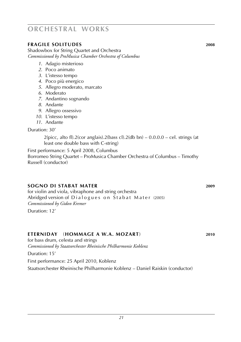### **fragile solitudes 2008**

Shadowbox for String Quartet and Orchestra *Commissioned by ProMusica Chamber Orchestra of Columbus*

- *1*. Adagio misterioso
- *2*. Poco animato
- *3*. L'istesso tempo
- *4*. Poco più energico
- *5*. Allegro moderato, marcato
- *6*. Moderato
- *7*. Andantino sognando
- *8*. Andante
- *9*. Allegro ossessivo
- *10*. L'istesso tempo
- *11*. Andante

#### Duration: 30'

2(picc, alto fl).2(cor anglais).2(bass cl).2(db bn)  $- 0.0.0.0 -$  cel. strings (at least one double bass with C-string)

First performance: 5 April 2008, Columbus Borromeo String Quartet – ProMusica Chamber Orchestra of Columbus – Timothy Russell (conductor)

### **sogno di stabat mater 2009**

for violin and viola, vibraphone and string orchestra Abridged version of  $D$  jalogues on  $\overline{S}$  tabat Mater (2005) *Commissioned by Gidon Kremer*

Duration: 12'

### **eterniday** (**hommage a w.A. Mozart**) **2010**

for bass drum, celesta and strings *Commissioned by Staatsorchester Rheinische Philharmonie Koblenz*

Duration: 15'

First performance: 25 April 2010, Koblenz

Staatsorchester Rheinische Philharmonie Koblenz – Daniel Raiskin (conductor)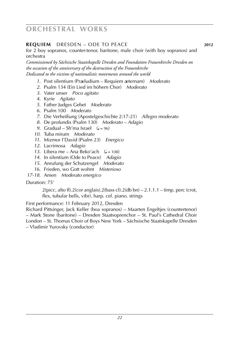### **REQUIEM** DRESDEN – ODE TO PEACE **2012**

for 2 boy sopranos, counter-tenor, baritone, male choir (with boy sopranos) and orchestra

*Commissioned by Sächsische Staatskapelle Dresden and Foundation Frauenkirche Dresden on the occasion of the anniversary of the destruction of the Frauenkirche Dedicated to the victims of nationalistic movements around the world*

- *1*. Post silentium (Praeludium Requiem aeternam) *Moderato*
- *2*. Psalm 134 (Ein Lied im höhern Chor) *Moderato*
- *3*. Vater unser *Poco agitato*
- *4*. Kyrie *Agitato*
- *5*. Father Judges Gebet *Moderato*
- *6*. Psalm 100 *Moderato*
- *7*. Die Verheißung (Apostelgeschichte 2:17-21) *Allegro moderato*
- *8*. De profundis (Psalm 130) *Moderato Adagio*
- *9.* Gradual Sh'ma Israel  $(l = 96)$
- *10*. Tuba mirum *Moderato*
- *11*. Mizmor l'David (Psalm 23) *Energico*
- *12*. Lacrimosa *Adagio*
- 13. Libera me Ana Beko'ach  $(d = 108)$
- *14*. In silentium (Ode to Peace) *Adagio*
- *15*. Anrufung der Schutzengel *Moderato*
- *16*. Frieden, wo Gott wohnt *Misterioso*
- *17-18*. Amen *Moderato energico*

#### Duration: 75'

 $2$ (picc, alto fl).  $2$ (cor anglais).  $2$ (bass cl).  $2$ (db bn)  $-2.1.1.1$  – timp. perc (crot, flex, tubular bells, vibr). harp. cel. piano. strings

First performance: 11 February 2012, Dresden

Richard Pittsinger, Jack Keller (boa sopranos) – Maarten Engeltjes (countertenor) – Mark Stone (baritone) – Dresden Staatsoprenchor – St. Paul's Cathedral Choir London – St. Thomas Choir of Boys New York – Sächsische Staatskapelle Dresden – Vladimir Yurovsky (conductor)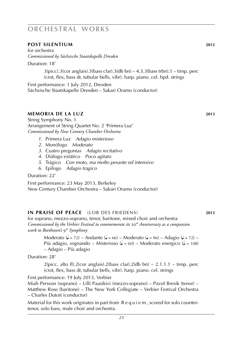### **post silentium 2012**

for orchestra *Commissioned by Sächsische Staatskapelle Dresden*

Duration: 18'

 $3(pice).3(cor$  anglais).  $3(bass clar).3(db bn) - 4.3.3(bass trbn).1 - timp. perc$ (crot, flex, bass dr, tubular bells, vibr). harp. piano. cel. hpd. strings

First performance: 1 July 2012, Dresden Sächsische Staatskapelle Dresden – Sakari Oramo (conductor)

#### **memoria de la luz 2013**

String Symphony No. 1 Arrangement of String Quartet No. 2 'Primera Luz' *Commissioned by New Century Chamber Orchestra*

- *1*. Primera Luz *Adagio misterioso*
- *2*. Monólogo *Moderato*
- *3*. Cuatro preguntas *Adagio recitativo*
- *4*. Diálogo extático *Poco agitato*
- *5*. Trágico *Con moto, ma molto pesante ed intensivo*
- *6*. Epílogo *Adagio tragico*

Duration: 22'

First performance: 23 May 2013, Berkeley New Century Chamber Orchestra – Sakari Oramo (conductor)

#### **in praise of peace** (lob des friedens) **2013**

for soprano, mezzo-soprano, tenor, baritone, mixed choir and orchestra *Commissioned by the Verbier Festival to commemorate its* 20*th Anniversary as a companion work to Beethoven's* 9*th Symphony*

Moderato ( $= 72$ ) – Andante ( $= 66$ ) – Moderato ( $= 96$ ) – Adagio ( $= 72$ ) – Più adagio, sognando – Misterioso ( $d = 60$ ) – Moderato energico ( $d = 108$ ) – Adagio – Più adagio

Duration: 28'

 $2$ (picc, alto fl). $2$ (cor anglais). $2$ (bass clar). $2$ (db bn) – 2.1.1.1 – timp. perc (crot, flex, bass dr, tubular bells, vibr). harp. piano. cel. strings

First performance: 19 July 2013, Verbier

Miah Persson (soprano) – Lilli Paasikivi (mezzo-soprano) – Pavol Bresik (tenor) – Matthew Rose (baritone) – The New York Collegiate – Verbier Festival Orchestra – Charles Dutoit (conductor)

Material for this work originates in part from R e q u i e m , scored for solo countertenor, solo bass, male choir and orchestra.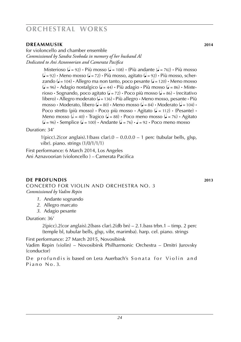### **DREAMMUSIK** 2014

for violoncello and chamber ensemble *Commissioned by Sandra Svoboda in memory of her husband Al Dedicated to Ani Aznovoorian and Camerata Pacifica*

> Misterioso ( $\sqrt{ } = 92$ ) **·** Più mosso ( $\sqrt{ } = 108$ ) **·** (Più andante  $\sqrt{ } = 76$ ) · Più mosso (q = 92) **·** Meno mosso (q = 72) **·** Più mosso, agitato (q = 92) **·** Più mosso, scher $z$ ando ( $\bullet$  = 104)  $\cdot$  Allegro ma non tanto, poco pesante ( $\bullet$  = 120)  $\cdot$  Meno mosso (q = 96) **·** Adagio nostalgico (q = 44) **·** Più adagio **·** Più mosso (q = 86) **·** Misterioso **·** Sognando, poco agitato ( $\epsilon = 72$ ) **·** Poco più mosso ( $\epsilon = 86$ ) · (recitativo libero) **·** Allegro moderato (q = 136) **·** Più allegro **·** Meno mosso, pesante **·** Più  $\text{mosso} \cdot \text{Modern}$ , libero ( $\downarrow = 80$ )  $\cdot$  Meno mosso ( $\downarrow = 84$ )  $\cdot$  Moderato ( $\downarrow = 104$ )  $\cdot$ Poco stretto (più mosso) **·** Poco più mosso **·** Agitato (q = 112) **·** (Pesante) **·** Meno mosso ( $d = 40$ ) **·** Tragico ( $d = 88$ ) **·** Poco meno mosso ( $d = 76$ ) **·** Agitato  $\left(\frac{\mathbf{I}}{\mathbf{I}} = 96\right)$  **·** Semplice  $\left(\frac{\mathbf{I}}{\mathbf{I}} = 100\right)$  **·** Andante  $\left(\frac{\mathbf{I}}{\mathbf{I}} = 76\right)$  **·**  $\mathbf{I} = 92$  **·** Poco meno mosso

Duration: 34'

 $1(picc).2(cor anglais).1(bass clar).0 - 0.0.0.0 - 1 perc (tubular tells, glsp,$ vibr). piano. strings (1/0/1/1/1)

First performance: 6 March 2014, Los Angeles Ani Aznavoorian (violoncello ) – Camerata Pacifica

### **de profundis 2013**

Concerto for violin and orchestra no. 3 *Commissioned by Vadim Repin*

- *1*. Andante sognando
- *2*. Allegro marcato
- *3*. Adagio pesante

Duration: 36'

2(picc).2(cor anglais).2(bass clar).2(db bn) – 2.1.bass trbn.1 – timp. 2 perc (temple bl, tubular bells, glsp, vibr, marimba). harp. cel. piano. strings

First performance: 27 March 2015, Novosibirsk Vadim Repin (violin) – Novosibirsk Philharmonic Orchestra – Dmitri Jurovsky (conductor)

De profundis is based on Lera Auerbach's Sonata for Violin and  $P$  i a n  $O$   $N$   $O$   $.3$ .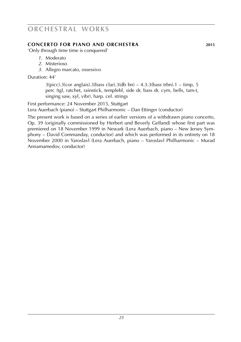### **CONCERTO FOR PIANO AND ORCHESTRA 2015**

'Only through time time is conquered'

- *1*. Moderato
- *2*. Misterioso
- *3*. Allegro marcato, ossessivo

Duration: 44'

 $3(pice).3(cor \text{ anglais}).3(bass \text{ clar}).3(db \text{ bn}) - 4.3.3(bass \text{trbn}).1 - timp, 5$ perc (tgl, ratchet, rainstick, templebl, side dr, bass dr, cym, bells, tam-t, singing saw, xyl, vibr). harp. cel. strings

First performance: 24 November 2015, Stuttgart Lera Auerbach (piano) – Stuttgart Philharmonic – Dan Ettinger (conductor)

The present work is based on a series of earlier versions of a withdrawn piano concerto, Op. 39 (originally commissioned by Herbert und Beverly Gelfand) whose first part was premiered on 18 November 1999 in Newark (Lera Auerbach, piano – New Jersey Symphony – David Commanday, conductor) and which was performed in its entirety on 18 November 2000 in Yaroslavl (Lera Auerbach, piano – Yaroslavl Philharmonic – Murad Annamamedov, conductor)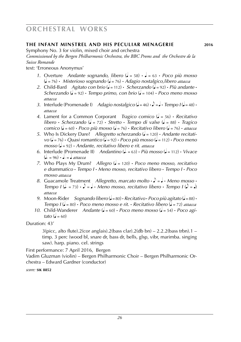### **the infant minstrel and his peculiar menagerie 2016**

Symphony No. 3 for violin, mixed choir and orchestra

*Commissioned by the Bergen Philharmonic Orchestra, the BBC Proms and the Orchestre de la Suisse Romande*

text: 'Erroneous Anonymus'

- *1*. Overture *Andante sognando, libero* (q = 58) **·** q = 63 **·** *Poco più mosso* (q = 76) **·** *Misterioso sognando* (q = 76) **·** *Adagio nostalgico,libero attacca*
- 2. Child-Bard *Agitato con brio* ( $\bullet$  = 112) **·** *Scherzando* ( $\bullet$  = 92) **·** *Più andante* **·** *Scherzando* ( $\bullet$  = 92) **·** *Tempo primo, con brio* ( $\bullet$  = 104) **·** *Poco meno mosso attacca*
- *3.* Interlude (Promenade I) *Adagio nostalgico* ( $\sqrt{=}$  = 46)  $\cdot \sqrt{=}$  *e Tempo I* ( $\sqrt{}=$  48)  $\cdot$ *attacca*
- *4*. Lament for a Common Corporant *Tragico comico* (q = 56) **·** *Recitativo*  $libero \cdot Scherzando$  ( $\downarrow$  = 72)  $\cdot$  *Stretto*  $\cdot$  *Tempo di valse* ( $\downarrow$  = 88)  $\cdot$  *Tragico comico* ( $\bullet$  = 60) **·** *Poco più mosso* ( $\bullet$  = 76) **·** *Recitativo libero* ( $\bullet$  = 76) · *attacca*
- 5. Who Is Dickery Dare? *Allegretto scherzando* ( $\sqrt{ }$  = 120) **·** *Andante recitati* $vo$  ( $\bullet$  = 76) **•** *Quasi romantico* ( $\bullet$  = 92) **•** *Poco più mosso* ( $\bullet$  = 112) **•** *Poco meno mosso* (q = 92) **·** *Andante, recitativo libero e rit. attacca*
- *6.* Interlude (Promenade II) *Andantino* ( $\epsilon = 63$ ) **·** *Più mosso* ( $\epsilon = 112$ ) · *Vivace*  $(a = 96) \cdot a = a$  *attacca*
- *7*. Who Plays My Drum? *Allegro* (q = 120) **·** *Poco meno mosso, recitativo e drammatico* **·** *Tempo I* **·** *Meno mosso, recitativo libero* **·** *Tempo I* **·** *Poco mosso attacca*
- *8.* Guacamole Treatment *Allegretto, marcato molto*  $\cdot \cdot$  =  $\cdot \cdot$  *Meno mosso*  $\cdot$ *Tempo I* ( $\downarrow$  = 73)  $\cdot$   $\downarrow$  =  $\downarrow$   $\cdot$  *Meno mosso, recitativo libero*  $\cdot$  *Tempo I* ( $\downarrow$  =  $\downarrow$ ) *attacca*
- *9.* Moon-Rider *Sognando libero* ( $\bullet$  = 80)  $\cdot$  *Recitativo*  $\cdot$  *Poco più agitato* ( $\bullet$  = 88)  $\cdot$ *Tempo I* ( $\sqrt{ }$  = 80) **·** *Poco meno mosso e rit.* **·** *Recitativo libero* ( $\sqrt{ }$  = 72) *attacca*
- 10. Child-Wanderer *Andante* ( $J = 60$ ) **·** *Poco meno mosso* ( $J = 54$ ) **·** *Poco agitato* ( $\dot{=}$  = 60)

Duration: 43'

 $3(pice, alto$  flute). $2(cor$  anglais). $2(bass$  clar). $2(db$  bn)  $- 2.2.2(bass$  trbn). $1$ timp. 3 perc (wood bl, snare dr, bass dr, bells, glsp, vibr, marimba. singing saw). harp. piano. cel. strings

First performance: 7 April 2016, Bergen

Vadim Gluzman (violin) – Bergen Philharmonic Choir – Bergen Philharmonic Orchestra – Edward Gardner (conductor)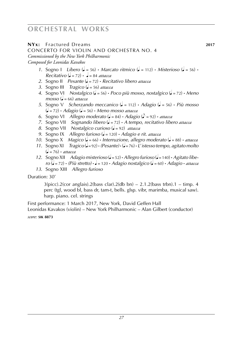### **NYx:** Fractured Dreams **2017**

Concerto for violin and orchestra no. 4

*Commissioned by the New York Philharmonic*

*Composed for Leonidas Kavakos*

- *1.* Sogno I *Libero* ( $\bullet$  = 56) **·** *Marcato ritmico* ( $\bullet$  = 112) **·** *Misterioso* ( $\bullet$  = 56) **·**  $Recitation (d = 72) \cdot d = 84 \text{ attacc}$
- *2*. Sogno II *Pesante* (q = 72) **·** *Recitativo libero attacca*
- *3*. Sogno III *Tragico* (q = 56) *attacca*
- *4*. Sogno VI *Nostalgico* (q = 56) **·** *Poco più mosso, nostalgico* (q = 72) **·** *Meno*  $mosso (J = 66)$  *attacca*
- *5*. Sogno V *Scherzando meccanico* (q = 112) **·** *Adagio* (q = 56) **·** *Più mosso* (q = 72) **·** *Adagio* (q = 56) **·** *Meno mosso attacca*
- *6*. Sogno VI *Allegro moderato* ( $\sqrt{ }$  = 84) **·** *Adagio* ( $\sqrt{ }$  = 92) *· attacca*
- *7*. Sogno VII *Sognando libero* (q = 72) **·** *A tempo, recitativo libero attacca*
- *8*. Sogno VII *Nostalgico curioso* (q = 92) *attacca*
- *9*. Sogno IX *Allegro furioso* (q = 120) **·** *Adagio e rit. attacca*
- *10.* Sogno X *Magico* ( $\bullet$  = 66) **·** *Interruzione, allegro moderato* ( $\bullet$  = 88) *· attacca*
- *11*. Sogno XI *Tragico* (q = 92) **·** *(Pesante)* **·** (q = 76) **·** *L*'*istesso tempo, agitato molto*  $\mathcal{L} = 76$  **·** *attacca*
- *12*. Sogno XII *Adagio misterioso* (q = 52) **·** *Allegro furioso* (q = 140) **·** *Agitato libe ro* (q = 72) **·** *(Più stretto)* **·** q = 120 **·** *Adagio nostalgico* (q = 60) **·** *Adagio* **·** *attacca*
- *13*. Sogno XIII *Allegro furioso*

Duration: 30'

 $3(b)$  (bicc). 2(cor anglais). 2(bass clar). 2(db bn) – 2.1. 2(bass trbn). 1 – timp. 4 perc (tgl, wood bl, bass dr, tam-t, bells. glsp. vibr, marimba, musical saw). harp. piano. cel. strings

First performance: 1 March 2017, New York, David Geffen Hall

Leonidas Kavakos (violin) – New York Philharmonic – Alan Gilbert (conductor)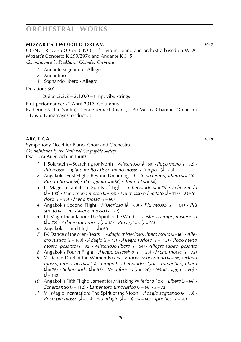### **mozart's twofold dream 2017**

CONCERTO GROSSO NO. 5 for violin, piano and orchestra based on W. A. Mozart's Concerto K 299/297c and Andante K 315 *Commissioned by ProMusica Chamber Orchestra*

- *1*. Andante sognando **·** Allegro
- *2*. Andantino
- *3*. Sognando libero **·** Allegro

Duration: 30'

 $2$ (picc).2.2.2 – 2.1.0.0 – timp. vibr. strings

First performance: 22 April 2017, Columbus Katherine McLin (violin) – Lera Auerbach (piano) – ProMusica Chamber Orchestra – David Danzmayr (conductor)

### **arctica 2019**

Sympohony No. 4 for Piano, Choir and Orchestra *Commissioned by the National Geographic Society* text: Lera Auerbach (in Inuit)

- *1*. I. Solarstein Searching for North *Misterioso* ( $J = 60$ ) **·** *Poco meno* ( $J = 52$ ) **·** *Più mosso, agitato molto* **·** *Poco meno mosso* **·** *Tempo I* (q = 60)
- 2. Angakok's First Flight: Beyond Dreaming *L'istesso tempo, libero* ( $\sqrt{=}$  = 60) **·** *Più stretto* ( $\bullet$  = 69)  $\cdot$  *Più agitato* ( $\bullet$  = 80)  $\cdot$  *Tempo I* ( $\bullet$  = 60)
- *3*. II. Magic Incantation: Spirits of Light *Scherzando* (q = 76) **·** *Scherzando*  $\left(\frac{\mathsf{I}}{\mathsf{I}} = 100\right)$  **·** *Poco meno mosso*  $\left(\frac{\mathsf{I}}{\mathsf{I}} = 84\right)$  **·** *Più mosso ed agitato*  $\left(\frac{\mathsf{I}}{\mathsf{I}} = 116\right)$  · *Miste* $rioso$  ( $\bullet$  = 80) **·** *Meno mosso* ( $\bullet$  = 60)
- *4.* Angakok's Second Flight *Misterioso* ( $\sqrt{ }$  = 60) **·** *Più* mosso ( $\sqrt{ }$  = 104) **·** *Più*  $\frac{1}{2}$  *stretto* ( $\frac{1}{2}$  = 120) **·** *Meno mosso* ( $\frac{1}{2}$  = 72)
- *5*. III. Magic Incantation: The Spirit of the Wind *L'istesso tempo, misterioso*  $(d = 72)$  **·** *Adagio misterioso*  $(d = 48)$  **·** *Più agitato*  $(d = 56)$
- 6. Angakok's Third Flight  $\sqrt{ } = 60$
- *7.* IV. Dance of the Men-Bears *Adagio misterioso, libero molto* ( $J = 60$ ) **·** *Allegro rustico* ( $\sqrt{ }$  = 108) **·** *Adagio* ( $\sqrt{ }$  = 42) **·** *Allegro furioso* ( $\sqrt{ }$  = 112) **·** *Poco meno mosso, pesante* (q = 92) **·** *Misterioso libero* (q = 54) **·** *Allegro subito, pesante*
- *8*. Angakok's Fourth Flight *Allegro ossessivo* (q = 120) **·** *Meno mosso* (q = 72)
- *9*. V. Dance-Duel of the Women-Foxes *Furioso scherzando* (q = 88) **·** *Meno mosso, umoristico* (q = 66) **·** *Tempo I, scherzando* **·** *Quasi romantico, libero*  $\left(\frac{\partial}{\partial t}\right)$  **•** *Scherzando*  $\left(\frac{\partial}{\partial t}\right)$  **·** *Vivo furioso*  $\left(\frac{\partial}{\partial t}\right)$  **·** *(Molto aggressivo)* **·**  $\mathcal{L} = 132$
- 10. Angakok's Fifth Flight: Lament for Mistaking Wife for a Fox *Libero* ( $=66$ ) **·** *Scherzando* ( $\sqrt{ }$  = 112) **·** *Lamentoso umoristico* ( $\sqrt{ }$  = 66) **·**  $\sqrt{ }$  = 72
- *11.* VI. Magic Incantation: The Spirit of the Moon *Adagio sognando* ( $J = 50$ ) **·** *Poco più mosso* ( $d = 66$ ) **·** *Più adagio* ( $d = 50$ ) **·** ( $d = 66$ ) **·** *Ipnotico* ( $d = 50$ )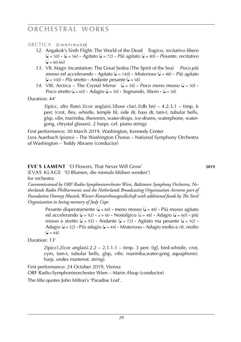### **ARCTICA** [CONTINUED]

- *12*. Angakok's Sixth Flight: The World of the Dead *Tragico, recitativo libero* (q = 50) **·** (q = 56) **·** *Agitato* (q = 72) **·** *Più agitato* (q = 80) **·** *Pesante, recitativo*  $\mathcal{L} = 60 - 66$
- *13*. VII. Magic Incantation: The Great Sedna (The Spirit of the Sea) *Poco più mosso ed accelerando* **·** *Agitato* (q = 140) **·** *Misterioso* (q = 88) **·** *Più agitato*  $\mathbf{Q} = 100$  **·** *Più stretto* **·** *Andante pesante*  $\mathbf{Q} = 58$
- *14.* VIII. Arctica The Crystal Mirror  $\left( \right) = 58$ ) **·** *Poco meno mosso*  $\left( \right) = 50$  · *Poco stretto* ( $\bullet$  = 60) **·** *Adagio* ( $\bullet$  = 50) **·** *Sognando, libero* · ( $\bullet$  = 58)

Duration: 44'

 $3(picc, alto fluct)$ .  $3(cor anglais)$ .  $3(bass clar)$ .  $3(db bn) - 4.2.3.1 - timp, 6$ perc (crot, flex, whistle, temple bl, side dr, bass dr, tam-t, tubular bells, glsp, vibr, marimba, theremin, water-drops, ice-drums, waterphone, watergong, chrystal glasses). 2 harps. cel. piano strings

First performance: 30 March 2019, Washington, Kennedy Center Lera Auerbach (piano) – The Washington Chorus – National Symphony Orchestra of Washington – Teddy Abrams (conductor)

### **eve**'**s lament** 'O Flowers, That Never Will Grow' **2019**

(evas klage 'O Blumen, die niemals blühen werden') for orchestra

*Cocommissioned by ORF Radio-Symphonieorchester Wien, Baltimore Symphony Orchestra, Netherlands Radio Philharmonic and the Netherlands Broadcasting Organization Avrotros part of Foundation Omroep Muziek, Wiener Konzerthausgesellschaft with additional funds by The Sorel Organization in loving memory of Judy Cope*

> Pesante disperatamente ( $\sqrt{ } = 60$ )  $\cdot$  meno mosso ( $\sqrt{ } = 48$ )  $\cdot$  Più mosso agitato ed accelerando ( $\epsilon = 92$ ) **·**  $\epsilon = 60$  **·** Nostalgico ( $\epsilon = 48$ ) **·** Adagio ( $\epsilon = 60$ ) · più mosso e stretto ( $\sqrt{ } = 92$ ) **·** Andante ( $\sqrt{ } = 72$ ) **·** Agitato ma pesante ( $\sqrt{ } = 92$ ) **·** Adagio (q = 52) **·** Più adagio (q = 44) **·** Misterioso **·** Adagio molto e rit. molto  $\mu = 44$

Duration: 13'

 $2$ (picc). $2$ (cor anglais). $2.2 - 2.1.1.1 -$  timp. 3 perc (tgl, bird-whistle, crot, cym, tam-t, tubular bells, glsp, vibr, marimba,water-gong aquaphone). harp. ondes martenot. strings

First performance: 24 October 2019, Vienna ORF Radio-Symphonieorchester Wien – Marin Alsop (conductor) The title quotes John Milton's 'Paradise Lost'.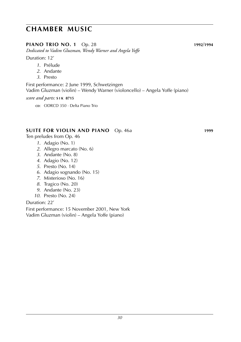### **piano TRIO no. 1** Op. 28 **1992**/**1994**

*Dedicated to Vadim Gluzman, Wendy Warner and Angela Yoffe*

Duration: 12'

- *1*. Prélude
- *2*. Andante
- *3*. Presto

First performance: 2 June 1999, Schwetzingen Vadim Gluzman (violin) – Wendy Warner (violoncello) – Angela Yoffe (piano)

#### *score and parts:* **s i k 8715**

c**D**: ODRCD 350 · Delta Piano Trio

### **SUITE for violin and piano** Op. 46a **1999**

Ten preludes from Op. 46

- *1*. Adagio (No. 1)
- *2*. Allegro marcato (No. 6)
- *3*. Andante (No. 8)
- *4*. Adagio (No. 12)
- *5*. Presto (No. 14)
- *6*. Adagio sognando (No. 15)
- *7*. Misterioso (No. 16)
- *8*. Tragico (No. 20)
- *9*. Andante (No. 23)
- *10*. Presto (No. 24)

### Duration: 22'

First performance: 15 November 2001, New York Vadim Gluzman (violin) – Angela Yoffe (piano)

*30*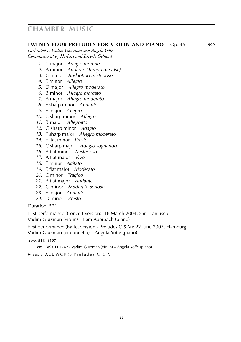### **twenty-four PRELUDES for violin and piano** Op. 46 **1999**

*Dedicated to Vadim Gluzman and Angela Yoffe Commissioned by Herbert and Beverly Gelfand*

- . C major *Adagio mortale*
- . A minor *Andante (Tempo di valse)*
- . G major *Andantino misterioso*
- . E minor *Allegro*
- . D major *Allegro moderato*
- . B minor *Allegro marcato*
- . A major *Allegro moderato*
- . F sharp minor *Andante*
- . E major *Allegro*
- . C sharp minor *Allegro*
- . B major *Allegretto*
- . G sharp minor *Adagio*
- . F sharp major *Allegro moderato*
- . E flat minor *Presto*
- . C sharp major *Adagio sognando*
- . B flat minor *Misterioso*
- . A flat major *Vivo*
- . F minor *Agitato*
- . E flat major *Moderato*
- . C minor *Tragico*
- . B flat major *Andante*
- . G minor *Moderato serioso*
- . F major *Andante*
- . D minor *Presto*

Duration: 52'

First performance (Concert version): 18 March 2004, San Francisco Vadim Gluzman (violin) – Lera Auerbach (piano)

First performance (Ballet version · Preludes C & V): 22 June 2003, Hamburg Vadim Gluzman (violoncello) – Angela Yoffe (piano)

- **cp:** BIS CD 1242 · Vadim Gluzman (violin) Angela Yoffe (piano)
- ► *see:* STAGE WORKS Preludes C & V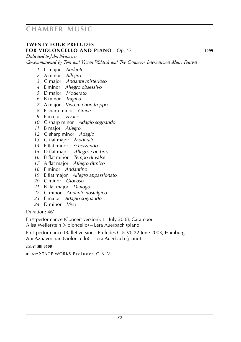### **twenty-four PRELUDES for violoncello and piano** Op. 47 **1999**

*Dedicated to John Neumeier*

*Co-commissioned by Tom and Vivian Waldeck and The Caramoor International Music Festival*

- . C major *Andante*
- . A minor *Allegro*
- . G major *Andante misterioso*
- . E minor *Allegro obsessivo*
- . D major *Moderato*
- . B minor *Tragico*
- . A major *Vivo ma non troppo*
- . F sharp minor *Grave*
- . E major *Vivace*
- . C sharp minor *Adagio sognando*
- . B major *Allegro*
- . G sharp minor *Adagio*
- . G flat major *Moderato*
- . E flat minor *Scherzando*
- . D flat major *Allegro con brio*
- . B flat minor *Tempo di valse*
- . A flat major *Allegro ritmico*
- . F minor *Andantino*
- . E flat major *Allegro appassionato*
- . C minor *Giocoso*
- . B flat major *Dialogo*
- . G minor *Andante nostalgico*
- . F major *Adagio sognando*
- . D minor *Vivo*

Duration: 46'

First performance (Concert version): 11 July 2008, Caramoor

Alisa Weilerstein (violoncello) – Lera Auerbach (piano)

First performance (Ballet version · Preludes C & V): 22 June 2003, Hamburg Ani Aznavoorian (violoncello) – Lera Auerbach (piano)

*score:* **sik 8508**

► *see:* STAGE WORKS Preludes C & V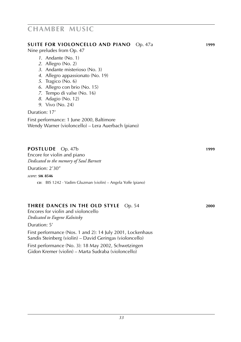#### **SUITE for violoncello and piano** Op. 47a **1999**

Nine preludes from Op. 47

- *1*. Andante (No. 1)
- *2*. Allegro (No. 2)
- *3*. Andante misterioso (No. 3)
- *4*. Allegro appassionato (No. 19)
- *5*. Tragico (No. 6)
- *6*. Allegro con brio (No. 15)
- *7*. Tempo di valse (No. 16)
- *8*. Adagio (No. 12)
- *9*. Vivo (No. 24)

#### Duration: 17'

First performance: 1 June 2000, Baltimore Wendy Warner (violoncello) – Lera Auerbach (piano)

#### **POSTLUDE** Op. 47b **1999**

Encore for violin and piano *Dedicated to the memory of Saul Barnett*

Duration: 2'30"

*score:* **sik 8546**

**cd**: BIS 1242 · Vadim Gluzman (violin) – Angela Yoffe (piano)

### **THREE DANCES IN THE OLD STYLE** Op. 54 **2000**

Encores for violin and violoncello *Dedicated to Eugene Kalnitsky*

Duration: 5'

First performance (Nos. 1 and 2): 14 July 2001, Lockenhaus Sandis Steinberg (violin) – David Geringas (violoncello)

First performance (No. 3): 18 May 2002, Schwetzingen Gidon Kremer (violin) – Marta Sudraba (violoncello)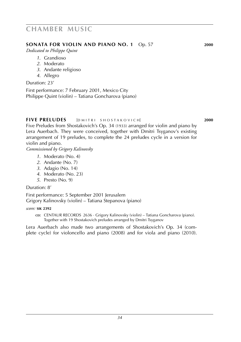### **SONATA FOR VIOLIN AND PIANO NO. 1** Op. 57 **2000**

*Dedicated to Philippe Quint*

- *1*. Grandioso
- *2*. Moderato
- *3*. Andante religioso
- *4*. Allegro

Duration: 23'

First performance: 7 February 2001, Mexico City Philippe Quint (violin) – Tatiana Goncharova (piano)

### **FIVE PRELUDES** [D M ITRL SHOSTAKO V ICH] **2000**

Five Preludes from Shostakovich's Op. 34 (1933) arranged for violin and piano by Lera Auerbach. They were conceived, together with Dmitri Tsyganov's existing arrangement of 19 preludes, to complete the 24 preludes cycle in a version for violin and piano.

*Commissioned by Grigory Kalinovsky*

- *1*. Moderato (No. 4)
- *2*. Andante (No. 7)
- *3*. Adagio (No. 14)
- *4*. Moderato (No. 23)
- *5*. Presto (No. 9)

Duration: 8'

First performance: 5 September 2001 Jerusalem Grigory Kalinovsky (violin) – Tatiana Stepanova (piano)

*score:* **sik 2392**

c**D**: CENTAUR RECORDS 2636 · Grigory Kalinovsky (violin) – Tatiana Goncharova (piano). Together with 19 Shostakovich preludes arranged by Dmitri Tsyganov

Lera Auerbach also made two arrangements of Shostakovich's Op. 34 (complete cycle) for violoncello and piano (2008) and for viola and piano (2010).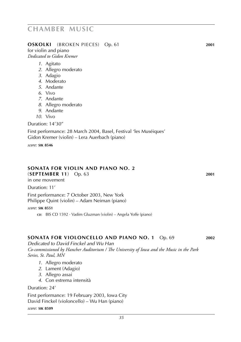#### **OSKOLKI** (broken pieces) Op. 61 **2001**

for violin and piano *Dedicated to Gidon Kremer*

- *1*. Agitato
- *2*. Allegro moderato
- *3*. Adagio
- *4*. Moderato
- *5*. Andante
- *6*. Vivo
- *7*. Andante
- *8*. Allegro moderato
- *9*. Andante
- *10*. Vivo

Duration: 14'30"

First performance: 28 March 2004, Basel, Festival 'les Muséiques' Gidon Kremer (violin) – Lera Auerbach (piano)

*score:* **sik 8546**

#### **SONATA FOR VIOLIN AND PIANO NO. 2**

(**September 11**) Op. 63 **2001**

in one movement

Duration: 11'

First performance: 7 October 2003, New York

Philippe Quint (violin) – Adam Neiman (piano)

*score:* **sik 8551**

**cp:** BIS CD 1592 · Vadim Gluzman (violin) – Angela Yoffe (piano)

#### **SONATA FOR VIOLONCELLO AND PIANO NO. 1** Op. 69 **2002**

*Dedicated to David Finckel and Wu Han Co-commissioned by Hancher Auditorium / The University of Iowa and the Music in the Park Series, St. Paul, MN*

- *1*. Allegro moderato
- *2*. Lament (Adagio)
- *3*. Allegro assai
- *4*. Con estrema intensità

Duration: 24'

First performance: 19 February 2003, Iowa City David Finckel (violoncello) – Wu Han (piano)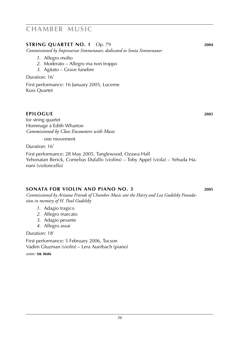### **STRING QUARTET NO. 1** Op. 79 **2004**

*Commissioned by Impresariat Simmenauer, dedicated to Sonia Simmenauer*

- *1*. Allegro molto
- *2*. Moderato Allegro ma non troppo
- *3*. Agitato Grave funebre

Duration: 16'

First performance: 16 January 2005, Lucerne Kuss Quartet

### **epilogue 2005**

for string quartet Hommage à Edith Wharton *Commissioned by Close Encounters with Music*

one movement

Duration: 16'

First performance: 28 May 2005, Tanglewood, Ozawa Hall Yehonatan Berick, Cornelius Dufallo (violins) – Toby Appel (viola) – Yehuda Hanani (violoncello)

#### **SONATA FOR VIOLIN AND PIANO NO. 3 2005**

*Commissioned by Arizona Friends of Chamber Music ant the Harry and Lea Gudelsky Foundation in memory of H. Paul Gudelsky*

- *1*. Adagio tragico
- *2*. Allegro marcato
- *3*. Adagio pesante
- *4*. Allegro assai

Duration: 18'

First performance: 5 February 2006, Tucson Vadim Gluzman (violin) – Lera Auerbach (piano)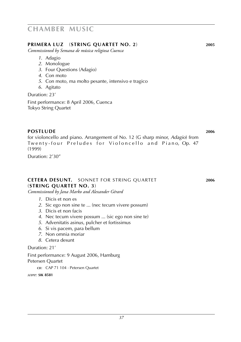### **primera luz** (**string quartet no. 2**) **2005**

*Commissioned by Semana de música religiosa Cuenca*

- *1*. Adagio
- *2*. Monologue
- *3*. Four Questions (Adagio)
- *4*. Con moto
- *5*. Con moto, ma molto pesante, intensivo e tragico
- *6*. Agitato

Duration: 23' First performance: 8 April 2006, Cuenca Tokyo String Quartet

**POSTLUDE 2006** for violoncello and piano. Arrangement of No. 12 (G sharp minor, *Adagio*) from Twenty-four Preludes for Violoncello and Piano, Op. 47 (1999)

Duration: 2'30"

#### **cetera desunt.** sonnet for string quartet **2006** (**string quartet no. 3**)

*Commissioned by Jana Marko and Alexander Gérard*

- *1*. Dicis et non es
- *2*. Sic ego non sine te ... (nec tecum vivere possum)
- *3*. Dicis et non facis
- *4*. Nec tecum vivere possum ... (sic ego non sine te)
- *5*. Advenitatis asinus, pulcher et fortissimus
- *6*. Si vis pacem, para bellum
- *7*. Non omnia moriar
- *8*. Cetera desunt

Duration: 21'

First performance: 9 August 2006, Hamburg Petersen Quartet

c**D**: CAP 71 104 · Petersen Quartet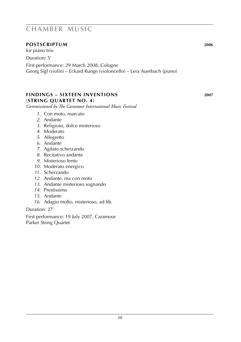### **POStscriptum 2006**

for piano trio Duration: 5'

First performance: 29 March 2008, Cologne Georg Sigl (violin) – Eckard Runge (violoncello) – Lera Auerbach (piano)

### **findings – sixteen inventions 2007** (**string quartet no. 4**)

*Commissioned by The Caramoor International Music Festival*

- *1*. Con moto, marcato
- *2*. Andante
- *3*. Religioso, dolce misterioso
- *4*. Moderato
- *5*. Allegretto
- *6*. Andante
- *7*. Agitato scherzando
- *8*. Recitativo andante
- *9*. Misterioso lento
- *10*. Moderato energico
- *11*. Scherzando
- *12*. Andante, ma con moto
- *13*. Andante misterioso sognando
- *14*. Prestissimo
- *15*. Andante
- *16*. Adagio molto, misterioso, ad lib.

### Duration: 27'

First performance: 19 July 2007, Caramoor Parker String Quartet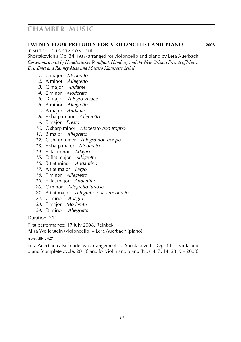#### **twenty-four PRELUDES for violoncello and piano 2008**

[D M I T R I S H O S T A K O V I C H]

Shostakovich's Op. 34 (1933) arranged for violoncello and piano by Lera Auerbach *Co-commissioned by Norddeutscher Rundfunk Hamburg and the New Orleans Friends of Music, Drs. Emel and Ranney Mize and Maestro Klauspeter Seibel*

- . C major *Moderato*
- . A minor *Allegretto*
- . G major *Andante*
- . E minor *Moderato*
- . D major *Allegro vivace*
- . B minor *Allegretto*
- . A major *Andante*
- . F sharp minor *Allegretto*
- . E major *Presto*
- . C sharp minor *Moderato non troppo*
- . B major *Allegretto*
- . G sharp minor *Allegro non troppo*
- . F sharp major *Moderato*
- . E flat minor *Adagio*
- . D flat major *Allegretto*
- . B flat minor *Andantino*
- . A flat major *Largo*
- . F minor *Allegretto*
- . E flat major *Andantino*
- . C minor *Allegretto furioso*
- . B flat major *Allegretto poco moderato*
- . G minor *Adagio*
- . F major *Moderato*
- . D minor *Allegretto*

Duration: 31'

First performance: 17 July 2008, Reinbek Alisa Weilerstein (violoncello) – Lera Auerbach (piano)

#### *score:* **sik 2427**

Lera Auerbach also made two arrangements of Shostakovich's Op. 34 for viola and piano (complete cycle, 2010) and for violin and piano (Nos. 4, 7, 14, 23, 9 – 2000)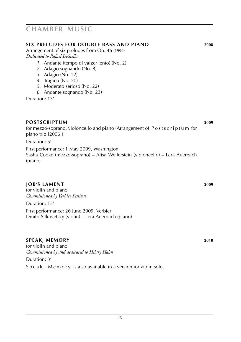#### **six preludes for double bass and piano 2008**

Arrangement of six preludes from Op. 46 (1999) *Dedicated to Rafael DeStella*

- *1*. Andante (tempo di valzer lento) (No. 2)
- *2*. Adagio sognando (No. 8)
- *3*. Adagio (No. 12)
- *4*. Tragico (No. 20)
- *5*. Moderato serioso (No. 22)
- *6*. Andante sognando (No. 23)

Duration: 13'

#### **POStscriptum 2009**

for mezzo-soprano, violoncello and piano (Arrangement of Postscriptum for piano trio [2006]) Duration: 5'

First performance: 1 May 2009, Washington Sasha Cooke (mezzo-soprano) – Alisa Weilerstein (violoncello) – Lera Auerbach (piano)

### **job's lament 2009**

for violin and piano *Commissioned by Verbier Festival* Duration: 13' First performance: 26 June 2009, Verbier Dmitri Sitkovetsky (violin) – Lera Auerbach (piano)

### **speak, memory 2010**

for violin and piano *Commissioned by and dedicated to Hilary Hahn* Duration: 3' Speak, Memory is also available in a version for violin solo.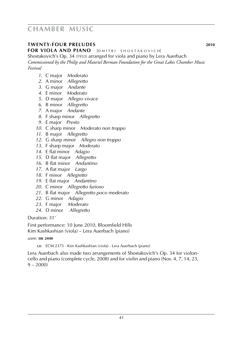### **twenty-four preludes 2010**

**FOR VIOLA AND PIANO** [DMITRI SHOSTAKOVICH]

Shostakovich's Op. 34 (1933) arranged for viola and piano by Lera Auerbach *Commissioned by the Philip and Mauriel Berman Foundation for the Great Lakes Chamber Music Festival*

- . C major *Moderato*
- . A minor *Allegretto*
- . G major *Andante*
- . E minor *Moderato*
- . D major *Allegro vivace*
- . B minor *Allegretto*
- . A major *Andante*
- . F sharp minor *Allegretto*
- . E major *Presto*
- . C sharp minor *Moderato non troppo*
- . B major *Allegretto*
- . G sharp minor *Allegro non troppo*
- . F sharp major *Moderato*
- . E flat minor *Adagio*
- . D flat major *Allegretto*
- . B flat minor *Andantino*
- . A flat major *Largo*
- . F minor *Allegretto*
- . E flat major *Andantino*
- . C minor *Allegretto furioso*
- . B flat major *Allegretto poco moderato*
- . G minor *Adagio*
- . F major *Moderato*
- . D minor *Allegretto*

Duration: 31'

First performance: 10 June 2010, Bloomfield Hills Kim Kashkashian (viola) – Lera Auerbach (piano)

#### *score:* **sik 2440**

**cD:** ECM 2375 · Kim Kashkashian (viola) · Lera Auerbach (piano)

Lera Auerbach also made two arrangements of Shostakovich's Op. 34 for violoncello and piano (complete cycle, 2008) and for violin and piano (Nos. 4, 7, 14, 23,  $9 - 2000$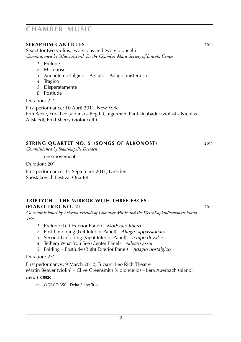### **seraphim canticles 2011**

Sextet for two violins, two violas and two violoncelli *Commissioned by 'Music Accord' for the Chamber Music Society of Lincoln Center*

- *1*. Prelude
- *2*. Misterioso
- *3*. Andante nostalgico Agitato Adagio misterioso
- *4*. Tragico
- *5*. Disperatamente
- *6*. Postlude

Duration: 22'

First performance: 10 April 2011, New York Erin Keefe, Yura Lee (violins) – Begth Gutgerman, Paul Neubader (violas) – Nicolas Altstaedt, Fred Sherry (violoncelli)

### **string quartet no. 5** (**songs of alkonost**) **2011**

*Commissioned by Staatskapelle Dresden*

one movement

Duration: 20'

First performance: 15 September 2011, Dresden Shostakovich Festival Quartet

#### **Triptych – The Mirror with three Faces** (**piano trio no. 2**) **2011**

*Co-commissioned by Arizona Friends of Chamber Music and the Weiss/Kaplan/Newman Piano Trio*

- *1*. Prelude (Left Exterior Panel) *Moderato libero*
- *2*. First Unfolding (Left Interior Panel) *Allegro appassionato*
- *3*. Second Unfolding (Right Interior Panel) *Tempo di valse*
- *4*. Tell'em What You See (Center Panel) *Allegro assai*
- *5*. Folding Postlude (Right Exterior Panel) *Adagio nostalgico*

#### Duration: 23'

First performance: 9 March 2012, Tucson, Leo Rich Theatre

Martin Beaver (violin) – Clive Greensmith (violoncello) – Lera Auerbach (piano)

*score:* **sik 8820**

**cp:** ODRCD 350 · Delta Piano Trio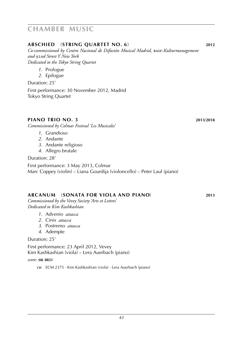### **abschied** (**string quartet no. 6**) **2012**

*Co-commissioned by Centro Nacional de Difusión Musical Madrid,* basf*-Kulturmanagement and* 92*nd Street Y New York Dedicated to the Tokyo String Quartet*

- *1*. Prologue
- *2*. Epilogue

Duration: 25'

First performance: 30 November 2012, Madrid Tokyo String Quartet

#### **piano trio no. 3 2013**/**2018**

*Commissioned by Colmar Festival 'Les Musicales'* 

- *1*. Grandioso
- *2*. Andante
- *3*. Andante religioso
- *4*. Allegro brutale

Duration: 28'

First performance: 3 May 2013, Colmar Marc Coppey (violin) – Liana Gourdija (violoncello) – Peter Laul (piano)

### **arcanum** (**sonata for viola and piano**) **2013**

*Commissioned by the Vevey Society 'Arts et Lettres' Dedicated to Kim Kashkashian*

- *1*. Advenio *attacca*
- *2*. Cinis *attacca*
- *3*. Postremo *attacca*
- *4*. Adempte

Duration: 25'

First performance: 23 April 2012, Vevey Kim Kashkashian (viola) – Lera Auerbach (piano)

*score:* **sik 8821**

**cD:** ECM 2375 · Kim Kashkashian (viola) · Lera Auerbach (piano)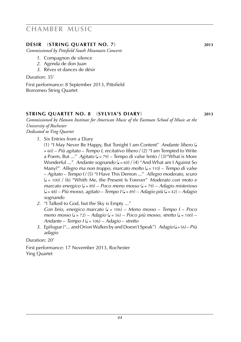### **desir** (**string quartet no. 7**) **2013**

*Commissioned by Pittsfield South Mountain Concerts*

- *1*. Compagnon de silence
- *2*. Agenda de don Juan
- *3*. Rêves et dances de désir

Duration: 35'

First performance: 8 September 2013, Pittsfield Borromeo String Quartet

#### **string quartet no. 8** (**sylvia's diary**) **2013**

*Commissioned by Hanson Institute for American Music of the Eastman School of Music at the University of Rochester*

*Dedicated to Ying Quartet*

*1*. Six Entries from a Diary

(1) "I May Never Be Happy, But Tonight I am Content" *Andante libero* (q = 60) – *Più agitato* – *Tempo I, recitativo libero* / (2) "I am Tempted to Write a Poem, But ..." *Agitato* ( $J = 79$ ) – Tempo di valse lento / (3) "What is More Wonderful ..." *Andante sognando* ( $J = 60$ ) / (4) "And What am I Against So Many?" Allegro ma non troppo, marcato molto (J = 110) – Tempo di valse – *Agitato* – *Tempo I* / (5) "I Have This Demon ..." *Allegro moderato, scuro* (q = 100) / (6) "Whith Me, the Present Is Forever" *Moderato con moto e marcato energico* (q = 89) – *Poco meno mosso* (q = 79) – *Adagio misterioso* (q = 48) – *Più mosso, agitato* – *Tempo I* (q = 89) – *Adagio più* (q = 42) – *Adagio sognando*

- *2*. "I Talked to God, but the Sky is Empty ..." *Con brio, energico marcato* (q = 106) – *Meno mosso* – *Tempo I* – *Poco meno mosso* ( $\sqrt{ } = 72$ ) – *Adagio* ( $\sqrt{ } = 56$ ) – *Poco più mosso, stretto* ( $\sqrt{ } = 100$ ) – *Andante* – *Tempo I* (q = 106) – *Adagio* – *stretto*
- *3*. Epilogue ("... and Orion Walkes by and Doesn't Speak") *Adagio* (q = 56) *Più adagio*

Duration: 20'

First performance: 17 November 2013, Rochester Ying Quartet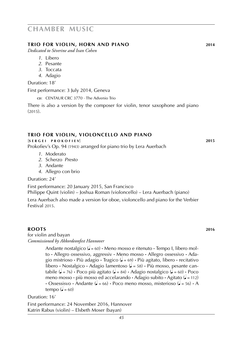#### **trio for violin, horn and piano 2014**

*Dedicated to Séverine and Ivan Cohen*

- *1*. Libero
- *2*. Pesante
- *3*. Toccata
- *4*. Adagio

Duration: 18'

First performance: 3 July 2014, Geneva

**cp:** CENTAUR CRC 3770 · The Advenio Trio

There is also a version by the composer for violin, tenor saxophone and piano  $(2015)$ .

#### **trio for violin, violoncello and piano**

[**s e r g e i p r o k o f i e v**] **2015**

Prokofiev's Op. 94 (1943) arranged for piano trio by Lera Auerbach

- *1*. Moderato
- *2*. Scherzo *Presto*
- *3*. Andante
- *4*. Allegro con brio

Duration: 24'

First performance: 20 January 2015, San Francisco Philippe Quint (violin) – Joshua Roman (violoncello) – Lera Auerbach (piano)

Lera Auerbach also made a version for oboe, violoncello and piano for the Verbier Festival 2015.

#### **roots 2016**

for violin and bayan *Commissioned by Akkordeonfest Hannover*

> Andante nostalgico ( $\sqrt{=} 60$ ) **·** Meno mosso e ritenuto · Tempo I, libero molto **·** Allegro ossessivo, aggressiv **·** Meno mosso **·** Allegro ossessivo **·** Adagio mistrioso **·** Più adagio **·** Tragico (q = 69) **·** Più agitato, libero **·** recitativo libero **·** Nostalgico · Adagio lamentoso ( $=$  58) · Più mosso, pesante cantabile  $(\sqrt{a} = 76)$  **·** Poco più agitato  $(\sqrt{a} = 84)$  · Adagio nostalgico  $(\sqrt{a} = 60)$  · Poco meno mosso **·** più mosso ed accelarando **·** Adagio subito **·** Agitato (q = 112)  $\cdot$  Ossessisvo  $\cdot$  Andante ( $\bullet$  = 66)  $\cdot$  Poco meno mosso, misterioso ( $\bullet$  = 56)  $\cdot$  A tempo  $($  $= 60)$

Duration: 16'

First performance: 24 November 2016, Hannover Katrin Rabus (violin) – Elsbeth Moser (bayan)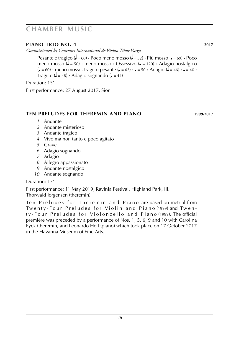### **PIANO TRIO NO. 4 2017**

*Commissioned by Concours International de Violon Tibor Varga*

Pesante e tragico ( $\sqrt{=} 60$ ) **·** Poco meno mosso ( $\sqrt{=} 52$ ) · Più mosso ( $\sqrt{=} 69$ ) · Poco meno mosso ( $\epsilon$  = 50) • meno mosso • Ossessivo ( $\epsilon$  = 120) • Adagio nostalgico  $\left( \frac{\partial}{\partial t} \right)$  • meno mosso, tragico pesante  $\left( \frac{\partial}{\partial t} \right) = 50$  • Adagio  $\left( \frac{\partial}{\partial t} \right) = 46$  •  $\left( \frac{\partial}{\partial t} \right) = 40$  • Tragico ( $\sqrt{=}$  = 48) **·** Adagio sognando ( $\sqrt{}=$  44)

Duration: 15'

First performance: 27 August 2017, Sion

### **ten preludes for theremin and piano 1999**/**2017**

- *1*. Andante
- *2*. Andante misterioso
- *3*. Andante tragico
- *4*. Vivo ma non tanto e poco agitato
- *5*. Grave
- *6*. Adagio sognando
- *7*. Adagio
- *8*. Allegro appassionato
- *9*. Andante nostalgico
- *10*. Andante sognando

Duration: 17'

First performance: 11 May 2019, Ravinia Festival, Highland Park, Ill. Thorwald Jørgensen (theremin)

Ten Preludes for Theremin and Piano are based on metrial from Twenty-Four Preludes for Violin and Piano (1999) and Twenty-Four Preludes for Violoncello and Piano (1999). The official première was preceded by a performance of Nos. 1, 5, 6, 9 and 10 with Carolina Eyck (theremin) and Leonardo Hell (piano) which took place on 17 October 2017 in the Havanna Museum of Fine Arts.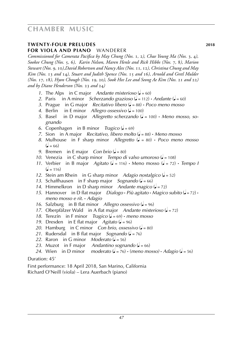### **twenty-four preludes 2018 for viola and piano** wanderer

*Commissioned for Camerata Pacifica by May Chung (Nos.* 1*,* 2*), Chae Young Ma (Nos.* 3*,* 4*), Sookee Chung (Nos.* 5*,* 6*), Karin Nelson, Maren Henle and Rick Hibbs (Nos.* 7*,* 8*), Marion Stewart (Nos.* 9*,* 10*),David Robertson and Nancy Alex (Nos.* 11*,* 12*), Christina Chung and May Kim (Nos.* 13 *and* 14*), Stuart and Judith Spence (Nos.* 15 *and* 16*), Arnold and Gretl Mulder (Nos.* 17*,* 18*), Hyon Chough (Nos.* 19*,* 20*), Sook Hee Lee and Seong Ae Kim (Nos.* 21 *and* 22*) and by Diane Henderson (Nos.* 23 *and* 24*)*

- *1*. The Alps in C major *Andante misterioso* ( $\sqrt{ } = 60$ )
- 2. Paris in A minor *Scherzando grazioso* ( $\sqrt{ }$  = 112) **·** *Andante* ( $\sqrt{ }$  = 60)
- *3*. Prague in G major *Recitativo libero* (q = 88) **·** *Poco meno mosso*
- *4.* Berlin in E minor *Allegro ossessivo* ( $\sqrt{ }$  = 100)
- *5*. Basel in D major *Allegretto scherzando* ( $J = 100$ )  $\cdot$  *Meno mosso, so gnando*
- *6.* Copenhagen in B minor *Tragico* ( $\sqrt{=}$  = 69)
- *7*. Sion in A major *Recitativo, libero molto* (q = 88) **·** *Meno mosso*
- *8*. Mulhouse in F sharp minor *Allegretto* (q = 80) **·** *Poco meno mosso*  $\mathcal{L} = 66$
- *9.* Bremen in E major *Con brio* ( $\sqrt{ } = 80$ )
- *10.* Venezia in C sharp minor *Tempo di valso umoroso* ( $\sqrt{ }$  = 108)
- *11.* Verbier in B major *Agitato* ( $\sqrt{ }$  = 116) **·** Meno mosso ( $\sqrt{ }$  = 72) **·** *Tempo I*  $\left( = 116 \right)$
- *12*. Stein am Rhein in G sharp minor *Adagio nostalgico* (q = 52)
- 13. Schaffhausen in F sharp major *Sognando* ( $= 66$ )
- 14. Himmelkron in D sharp minor *Andante magico* ( $\sqrt{ } = 72$ )
- 15. Hannover in D flat major *Dialogo* · *Più agitato* · *Magico subito* ( $\sqrt{ } = 72$ ) · *meno mosso e rit.* **·** *Adagio*
- *16.* Salzburg in B flat minor *Allegro ossessivo* ( $= 96$ )
- 17. Oberpfälzer Wald in A flat major *Andante misterioso* ( $\sqrt{ } = 72$ )
- *18.* Terezín in F minor *Tragico* ( $\sqrt{ }$  = 69) **·** *meno mosso*
- 19. Dresden in E flat major *Agitato* ( $\sqrt{ }$  = 96)
- *20.* Hamburg in C minor *Con brio, ossessivo* ( $= 80$ )
- 21. Rudersdal in B flat major *Sognando* ( $\sqrt{27} = 76$ )
- 22. Raron in G minor *Moderato* ( $\sqrt{ }$  = 56)
- 23. Muzot in F major *Andantino sognando* ( $\sqrt{6} = 66$ )
- 24. Wien in D minor *moderato* ( $\sqrt{=}$  = 76)  $\cdot$  (*meno mosso*)  $\cdot$  *Adagio* ( $\sqrt{}=$  56)

#### Duration: 45'

First performance: 18 April 2018, San Marino, California Richard O'Neill (viola) – Lera Auerbach (piano)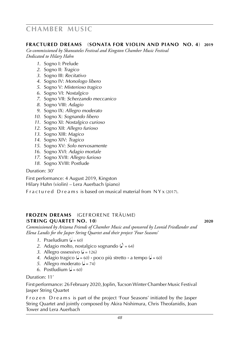#### **fractured dreams** (**sonata for violin and piano no. 4**) **2019**

*Co-commissioned by Skaneateles Festival and Kingston Chamber Music Festival Dedicated to Hilary Hahn*

- *1*. Sogno I: Prelude
- *2*. Sogno II: *Tragico*
- *3*. Sogno III: *Recitativo*
- *4*. Sogno IV: *Monologo libero*
- *5*. Sogno V: *Misterioso tragico*
- *6*. Sogno VI: *Nostalgico*
- *7*. Sogno VII: *Scherzando meccanico*
- *8*. Sogno VIII: *Adagio*
- *9*. Sogno IX: *Allegro moderato*
- *10*. Sogno X: *Sognando libero*
- *11*. Sogno XI: *Nostalgico curioso*
- *12*. Sogno XII: *Allegro furioso*
- *13*. Sogno XIII: *Magico*
- *14*. Sogno XIV: *Tragico*
- *15*. Sogno XV: *Solo nervosamente*
- *16*. Sogno XVI: *Adagio mortale*
- *17*. Sogno XVII: *Allegro furioso*
- *18*. Sogno XVIII: Postlude

Duration: 30'

First performance: 4 August 2019, Kingston Hilary Hahn (violin) – Lera Auerbach (piano)

F r a c t u r e d D r e a m s is based on musical material from N Y x (2017).

#### **frozen dreams** (gefrorene träume) (**string quartet no. 10**) **2020**

*Commissioned by Arizona Friends of Chamber Music and sponsored by Leonid Friedlander and Elena Landis for the Jasper String Quartet and their project 'Four Seasons'*

- 1. Praeludium  $\mathbf{a} = 60$
- 2. Adagio molto, nostalgico sognando ( $\ell = 64$ )
- 3. Allegro ossessivo ( $\sqrt{=}$  = 126)
- *4*. Adagio tragico ( $\epsilon = 60$ )  $\cdot$  poco più stretto  $\cdot$  a tempo ( $\epsilon = 60$ )
- *5*. Allegro moderato ( $\sqrt{ }$  = 74)
- 6. Postludium  $\mathbf{a} = 60$

Duration: 11'

First performance: 26 February 2020, Joplin, Tucson Winter Chamber Music Festival Jasper String Quartet

F r o z e n D r e a m s is part of the project 'Four Seasons' initiated by the Jasper String Quartet and jointly composed by Akira Nishimura, Chris Theofanidis, Joan Tower and Lera Auerbach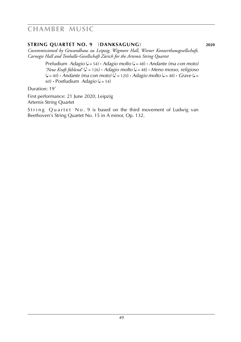#### **string quartet no. 9** (**danksagung**) **2020**

*Cocommissioned by Gewandhaus zu Leipzig, Wigmore Hall, Wiener Konzerthausgesellschaft, Carnegie Hall and Tonhalle-Gesellschaft Zürich for the Artemis String Quartet*

> Preludium *Adagio* ( $J = 54$ ) **·** *Adagio molto* ( $J = 48$ ) **·** *Andante (ma con moto) 'Neue Kraft fühlend'* ( $\triangle$  = 126) **·** *Adagio molto* ( $\angle$  = 48) **·** *Meno mosso, religioso*  $(L = 40)$  **•** *Andante (ma con moto)*  $(L = 120)$  **·** *Adagio molto*  $(L = 48)$  **·** *Grave*  $(L = 40)$ 60) **· Postludium** *Adagio* ( $J = 54$ )

Duration: 19'

First performance: 21 June 2020, Leipzig Artemis String Quartet

String Quartet No. 9 is based on the third movement of Ludwig van Beethoven's String Quartet No. 15 in A minor, Op. 132.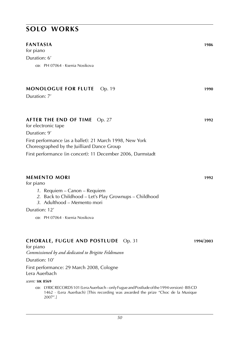#### **fantasia 1986**

for piano Duration: 6' **cd**: pH 07064 · Ksenia Nosikova

#### **MONOLOGUE FOR FLUTE** Op. 19 **1990**

Duration: 7'

#### **AFTER THE END OF TIME** Op. 27 **1992**

for electronic tape Duration: 9' First performance (as a ballet): 21 March 1998, New York Choreographed by the Juilliard Dance Group First performance (in concert): 11 December 2006, Darmstadt

#### **memento mori 1992**

for piano

- *1*. Requiem Canon Requiem
- *2*. Back to Childhood Let's Play Grownups Childhood
- *3*. Adulthood Memento mori

Duration: 12'

**cd**: pH 07064 · Ksenia Nosikova

### **CHORALE, FUGUE AND POSTLUDE** Op. 31 **1994**/**2003**

for piano

*Commissioned by and dedicated to Brigitte Feldtmann*

Duration: 10'

First performance: 29 March 2008, Cologne Lera Auerbach

*score:* **sik 8569**

cp: LYRIC RECORDS 101 (Lera Auerbach – only Fugue and Postlude of the 1994 version) · BISCD 1462 · (Lera Auerbach) [This recording was awarded the prize "Choc de la Musique 2007".]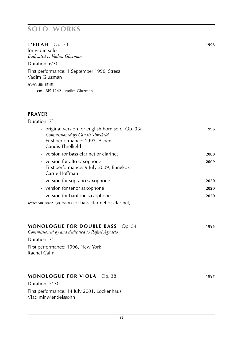### **T'FILAH** Op. 33 **1996**

for violin solo *Dedicated to Vadim Gluzman* Duration: 6'30" First performance: 1 September 1996, Stresa

Vadim Gluzman

*score:* **sik 8545**

**cd:** BIS 1242 · Vadim Gluzman

#### **PRAYER**

Vladimir Mendelssohn

| Duration: 7'                                                                                                                                |      |
|---------------------------------------------------------------------------------------------------------------------------------------------|------|
| · original version for english horn solo, Op. 33a<br>Commissioned by Candis Threlkeld<br>First performance: 1997, Aspen<br>Candis Threlkeld | 1996 |
| • version for bass clarinet or clarinet                                                                                                     | 2008 |
| • version for alto saxophone<br>First performance: 9 July 2009, Bangkok<br>Carrie Hoffman                                                   | 2009 |
| • version for soprano saxophone                                                                                                             | 2020 |
| • version for tenor saxophone                                                                                                               | 2020 |
| • version for baritone saxophone                                                                                                            | 2020 |
| score: SIK 8872 (version for bass clarinet or clarinet)                                                                                     |      |
| <b>MONOLOGUE FOR DOUBLE BASS</b><br>Op. 34<br>Commissioned by and dedicated to Rafael Agudelo                                               | 1996 |
| Duration: 7'                                                                                                                                |      |
| First performance: 1996, New York<br>Rachel Calin                                                                                           |      |
| <b>MONOLOGUE FOR VIOLA</b> Op. 38<br>Duration: 5' 30"                                                                                       | 1997 |
| First performance: 14 July 2001, Lockenhaus                                                                                                 |      |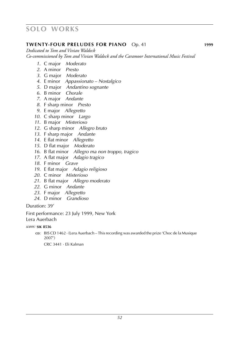### **TWENTY-FOUR PRELUDES FOR PIANO** Op. 41 **1999**

*Dedicated to Tom and Vivian Waldeck Co-commissioned by Tom and Vivian Waldeck and the Caramoor International Music Festival* 

- . C major *Moderato*
- . A minor *Presto*
- . G major *Moderato*
- . E minor *Appassionato Nostalgico*
- . D major *Andantino sognante*
- . B minor *Chorale*
- . A major *Andante*
- . F sharp minor *Presto*
- . E major *Allegretto*
- . C sharp minor *Largo*
- . B major *Misterioso*
- . G sharp minor *Allegro bruto*
- . F sharp major *Andante*
- . E flat minor *Allegretto*
- . D flat major *Moderato*
- . B flat minor *Allegro ma non troppo, tragico*
- . A flat major *Adagio tragico*
- . F minor *Grave*
- . E flat major *Adagio religioso*
- . C minor *Misterioso*
- . B flat major *Allegro moderato*
- . G minor *Andante*
- . F major *Allegretto*
- . D minor *Grandioso*

Duration: 39'

First performance: 23 July 1999, New York

Lera Auerbach

*score:* **sik 8536**

cp: BIS CD 1462 · (Lera Auerbach – This recording was awarded the prize 'Choc de la Musique 2007')

crc 3441 · Eli Kalman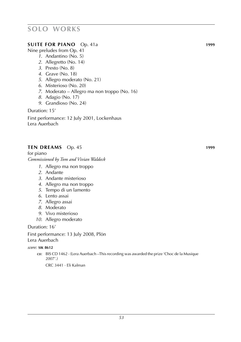#### **SUITE FOR PIANO** Op. 41a **1999**

Nine preludes from Op. 41

- *1*. Andantino (No. 5)
- *2*. Allegretto (No. 14)
- *3*. Presto (No. 8)
- *4*. Grave (No. 18)
- *5*. Allegro moderato (No. 21)
- *6*. Misterioso (No. 20)
- *7*. Moderato Allegro ma non troppo (No. 16)
- *8*. Adagio (No. 17)
- *9*. Grandioso (No. 24)

Duration: 15'

First performance: 12 July 2001, Lockenhaus Lera Auerbach

#### **TEN DREAMS** Op. 45 **1999**

for piano *Commissioned by Tom and Vivian Waldeck*

- *1*. Allegro ma non troppo
- *2*. Andante
- *3*. Andante misterioso
- *4*. Allegro ma non troppo
- *5*. Tempo di un lamento
- *6*. Lento assai
- *7*. Allegro assai
- *8*. Moderato
- *9*. Vivo misterioso
- *10*. Allegro moderato

Duration: 16'

First performance: 13 July 2008, Plön Lera Auerbach

#### *score:* **sik 8612**

c**o**: BIS CD 1462 · (Lera Auerbach –This recording was awarded the prize 'Choc de la Musique 2007'.)

crc 3441 · Eli Kalman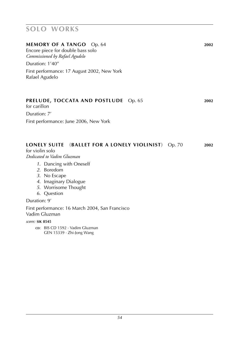#### **MEMORY OF A TANGO** Op. 64 **2002**

Encore piece for double bass solo *Commissioned by Rafael Agudelo*

Duration: 1'40"

First performance: 17 August 2002, New York Rafael Agudelo

### **PRELUDE, TOCCATA AND POSTLUDE** Op. 65 **2002**

for carillon Duration: 7'

First performance: June 2006, New York

### **LONELY SUITE** (**BALLET FOR A LONELY VIOLINIST**) Op. 70 **2002**

for violin solo *Dedicated to Vadim Gluzman*

- *1*. Dancing with Oneself
- *2*. Boredom
- *3*. No Escape
- *4*. Imaginary Dialogue
- *5*. Worrisome Thought
- *6*. Question

#### Duration: 9'

First performance: 16 March 2004, San Francisco Vadim Gluzman

#### *score:* **sik 8545**

c**D**: BIS CD 1592 · Vadim Gluzman GEN 15339 · Zhi-Jong Wang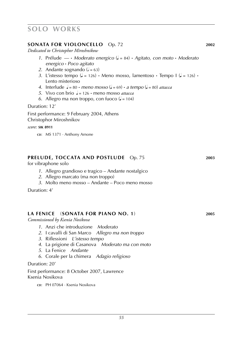### **SONATA FOR VIOLONCELLO** Op. 72 **2002**

*Dedicated to Christophor Miroshnikow*

- *1*. Prélude *––* **·** *Moderato energico* (q = 84) **·** *Agitato, con moto* **·** *Moderato energico* **·** *Poco agitato*
- 2. Andante sognando  $\sqrt{a} = 63$ )
- *3*. L'istesso tempo ( $\sqrt{ } = 126$ )  $\cdot$  Meno mosso, lamentoso  $\cdot$  Tempo I ( $\sqrt{ } = 126$ )  $\cdot$ Lento misterioso
- *4.* Interlude  $J = 80 \cdot \text{meno } \text{mosso } (J = 69) \cdot \text{a} \text{ tempo } (J = 80) \text{ attacca}$
- *5.* Vivo con brio  $\frac{1}{2}$  = 126 **·** meno mosso *attacca*
- *6.* Allegro ma non troppo, con fuoco  $\mathcal{L} = 104$

Duration: 12'

First performance: 9 February 2004, Athens Christophor Miroshnikov

*score:* **sik 8911**

**cp:** MS 1371 · Anthony Arnone

### **PRELUDE, TOCCATA AND POSTLUDE** Op. 75 **2003**

for vibraphone solo

- *1*. Allegro grandioso e tragico Andante nostalgico
- *2*. Allegro marcato (ma non troppo)
- *3*. Molto meno mosso Andante Poco meno mosso

Duration: 4'

#### **la fenice** (**Sonata for Piano No. 1**) **2005**

*Commissioned by Ksenia Nosikova*

- *1*. Anzi che introduzione *Moderato*
- *2*. I cavalli di San Marco *Allegro ma non troppo*
- *3*. Riflessioni *L'istesso tempo*
- *4*. La prigione di Casanova *Moderato ma con moto*
- *5*. La Fenice *Andante*
- *6*. Corale per la chimera *Adagio religioso*

Duration: 20'

First performance: 8 October 2007, Lawrence Ksenia Nosikova

**cD:** PH 07064 · Ksenia Nosikova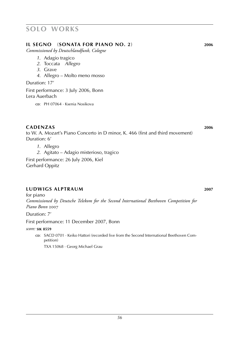#### **il segno** (**Sonata for Piano No. 2**) **2006**

*Commissioned by Deutschlandfunk, Cologne*

- *1*. Adagio tragico
- *2*. Toccata *Allegro*
- *3*. Grave
- *4*. Allegro Molto meno mosso

Duration: 17'

First performance: 3 July 2006, Bonn Lera Auerbach

**cd**: pH 07064 · Ksenia Nosikova

### **cadenzas 2006**

to W. A. Mozart's Piano Concerto in D minor, K. 466 (first and third movement) Duration: 6'

*1*. Allegro

*2*. Agitato – Adagio misterioso, tragico

First performance: 26 July 2006, Kiel Gerhard Oppitz

#### **ludwigs alptraum 2007**

for piano *Commissioned by Deutsche Telekom for the Second International Beethoven Competition for Piano Bonn* 2007

Duration: 7'

First performance: 11 December 2007, Bonn

*score:* **sik 8559**

cp: SACD 0701 · Keiko Hattori (recorded live from the Second International Beethoven Competition)

TXA 15068 · Georg Michael Grau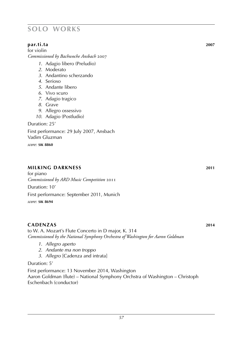### **par.ti.ta 2007**

for violin *Commissioned by Bachwoche Ansbach* 2007

- *1*. Adagio libero (Preludio)
- *2*. Moderato
- *3*. Andantino scherzando
- *4*. Serioso
- *5*. Andante libero
- *6*. Vivo scuro
- *7*. Adagio tragico
- *8*. Grave
- *9*. Allegro ossessivo
- *10*. Adagio (Postludio)

Duration: 25'

First performance: 29 July 2007, Ansbach Vadim Gluzman *score:* **sik 8860**

### **milking darkness 2011**

for piano *Commissioned by ARD Music Competition* 2011

Duration: 10'

First performance: September 2011, Munich

*score:* **sik 8694**

### **cadenzas 2014**

to W. A. Mozart's Flute Concerto in D major, K. 314 *Commissioned by the National Symphony Orchestra of Washington for Aaron Goldman*

- *1*. *Allegro aperto*
- *2*. *Andante ma non troppo*
- *3*. *Allegro* [Cadenza and intrata]

Duration: 5'

First performance: 13 November 2014, Washington Aaron Goldman (flute) – National Symphony Orchstra of Washington – Christoph Eschenbach (conductor)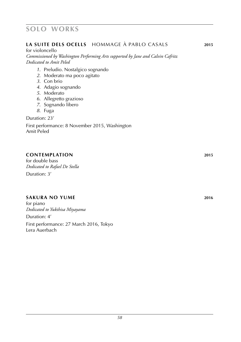### **la suite dels ocells** hommage à pablo casals **2015**

for violoncello

*Commissioned by Washington Performing Arts supported by Jane and Calvin Cafritz Dedicated to Amit Peled*

- *1*. Preludio. Nostalgico sognando
- *2*. Moderato ma poco agitato
- *3*. Con brio
- *4*. Adagio sognando
- *5*. Moderato
- *6*. Allegretto grazioso
- *7*. Sognando libero
- *8*. Fuga

Duration: 23'

First performance: 8 November 2015, Washington Amit Peled

### **contemplation 2015**

for double bass *Dedicated to Rafael De Stella* Duration: 3'

### **sakura no yume 2016**

for piano *Dedicated to Yukihisa Miyayama* Duration: 4' First performance: 27 March 2016, Tokyo Lera Auerbach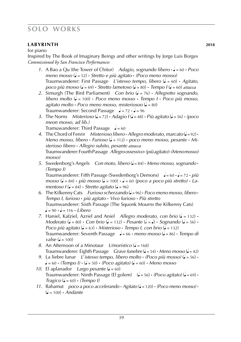### **labyrinth 2018**

for piano

Inspired by The Book of Imaginary Beings and other writings by Jorge Luis Borges *Commissioned by San Francisco Performances*

- *1*. A Bao a Qu (the Tower of Chitor) *Adagio, sognando libero* **·** q = 60 **·** *Poco meno mosso* (q = 52) **·** *Stretto e più agitato* **·** *(Poco meno mosso)* Traumwanderer: First Passage *L'istesso tempo, libero* (q = 60) **·** *Agitato, poco più mosso* ( $\bullet = 69$ ) **·** *Stretto lametoso* ( $\bullet = 80$ ) **·** *Tempo I* ( $\bullet = 60$ ) *attacca*
- *2*. Simurgh (The Bird Parliament) *Con brio* (q = 76) **·** *Allegretto sognando, libero molto* (q = 100) **·** *Poco meno mosso* **·** *Tempo I* **·** *Poco più mosso,*   $a$ gitato molto  $\cdot$  *Poco meno mosso, misteriosoo* ( $\sqrt{ }$  = 80) Traumwanderer: Second Passage q = 72 **·** q = 96
- 3. The Norns *Misterioso* ( $\sqrt{=}$  = 72) **·** *Adagio I* ( $\sqrt{}=$  48) **·** *Più agitato* ( $\sqrt{}=$  56) **·** *(poco*)  *meon mosso, ad lib.)* Tramuwanderer: Third Passage  $\rightarrow = 60$
- 4. The Chord of Fenrir *Misterioso libero*  $\cdot$  *Allegro moderato, marcato* ( $\sqrt{=}$ =92)  $\cdot$ *Meno mosso, libero*  $\cdot$  *Furioso* ( $\bullet$  = 112)  $\cdot$  *poco meno mosso, pesante*  $\cdot$  *Misterioso libero* **·** *Allegro subito, pesante attacca* Traumwanderer: Fourth Passage *Allegro ossessivo***·***(più agitato)***·***(Meno mosso) mosso)*
- *5.* Swedenborg's Angels *Con moto, libero*  $\left(\frac{1}{2} 84\right) \cdot$  *Meno mosso, sognando*  $\cdot$  *(Tempo I)* Traumwanderer: Fifth Passage (Swedenborg's Demons) q = 60 **·** q = 72 **·** *più*  $mosso$  ( $\downarrow$  = 84)  $\cdot$  *più mosso* ( $\downarrow$  = 100)  $\cdot$   $\downarrow$  = 60 *(poco a poco più stretto)*  $\cdot$  *Lamentoso*  $I(\mathbf{J} = 84) \cdot$  *Stretto agitato* ( $\mathbf{J} = 96$ )
- 6. The Kilkenny Cats *Furioso scherzando* ( $J = 96$ )  $\cdot$  *Poco meno mosso, libero*  $\cdot$  *Tempo I, furioso* **·** *più agitato* **·** *Vivo furioso* **·** *Più stretto* Traumwanderer: Sixth Passage (The Squonk Mourns the Kilkenny Cats)  $\bullet = 90 \cdot \bullet = 116 \cdot \text{Libero}$
- *7.* Haniel, Kafziel, Azriel and Aniel *Allegro moderato, con brio* ( $\sqrt{ }$  = 132) **·** *Moderato* ( $\bullet$  = 80)  $\cdot$  *Con brio* ( $\bullet$  = 132)  $\cdot$  *Pesante* ( $\bullet$  =  $\bullet$ )  $\cdot$  *Sognando* ( $\bullet$  = 56)  $\cdot$ *Poco più agitato* ( $d = 63$ ) **·** *Misterioso* **·** *Tempo I, con brio* ( $d = 132$ ) Traumwanderer: Seventh Passage q = 66 **·** *meno mosso* (q = 86) **·** *Tempo di*  $vake$  ( $d = 100$ )
- *8.* An Afternoon of a Minotaur *Umoristico* ( $\epsilon$  = 168) Traumwanderer: Eighth Passage *Grave funebre* ( $\sqrt{=}$  = 54) **·** *Meno mosso* ( $\sqrt{=}$  = 42)
- *9.* La liebre lunar *L'istesso tempo, libero molto*  $\cdot$  *(Poco più mosso)* ( $\bullet$  = 56)  $\cdot$  $\bullet = 60 \cdot (Tempo \, l) \cdot (\bullet = 50) \cdot (Poco \, agitato) (\bullet = 60) \cdot Meno \, mosso$
- *10.* El aplanador *Largo pesante* ( $\sqrt{ } = 60$ ) Traumwanderer: Ninth Passage (El golem)  $\left(\frac{1}{2} = 56\right) \cdot \left(\frac{P_{OCO}}{2} \cdot \frac{q_{i}}{q_{i}}\right) \cdot \left(\frac{1}{2} = 69\right) \cdot$ *Tragico* (q = 60) **·** *(Tempo I)*
- *11.* Bahamut *poco a poco accelerando*  $\cdot$  *Agitato* ( $\bullet$  = 120)  $\cdot$  *(Poco meno mosso)*  $\cdot$  $\dot{q} = 100 \cdot \dot{A}$ ndante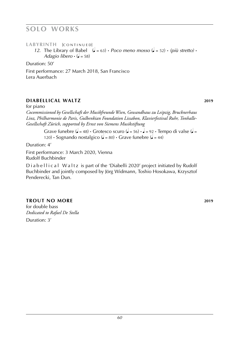LABYRINTH [CONTINUED]

*12.* The Library of Babel  $(e = 63)$  · *Poco meno mosso*  $(e = 52)$  · *(più stretto)* · *Adagio libero*  $\cdot$  ( $\bullet$  = 58)

Duration: 50'

First performance: 27 March 2018, San Francisco Lera Auerbach

### **diabellical waltz 2019**

for piano

*Cocommissioned by Gesellschaft der Musikfreunde Wien, Gewandhaus zu Leipzig, Brucknerhaus Linz, Philharmonie de Paris, Gulbenkian Foundation Lissabon, Klavierfestival Ruhr, Tonhalle-Gesellschaft Zürich, supported by Ernst von Siemens Musikstiftung*

Grave funebre  $\left(\frac{1}{2} = 48\right)$  **·** Grotesco scuro  $\left(\frac{1}{2} = 56\right)$  **·**  $\frac{1}{2} = 92$  **·** Tempo di valse  $\left(\frac{1}{2} = 92\right)$ 120) **·** Sognando nostalgico ( $\sqrt{ } = 80$ ) **·** Grave funebre ( $\sqrt{ } = 44$ )

Duration: 4'

First performance: 3 March 2020, Vienna Rudolf Buchbinder

Diabellical Waltz is part of the 'Diabelli 2020' project initiated by Rudolf Buchbinder and jointly composed by Jörg Widmann, Toshio Hosokawa, Krzysztof Penderecki, Tan Dun.

### **trout no more 2019**

for double bass *Dedicated to Rafael De Stella*

Duration: 3'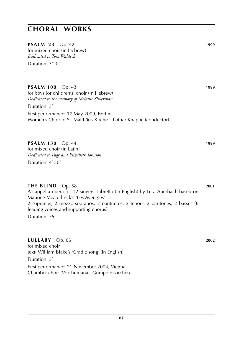**PSALM 23** Op. 42 **1999** for mixed choir (in Hebrew) *Dedicated to Tom Waldeck* Duration: 3'20"

**PSALM 100** Op. 43 **1999** for boys (or children's) choir (in Hebrew)

*Dedicated to the memory of Melanie Silverman*

Duration: 3'

First performance: 17 May 2009, Berlin Women's Choir of St. Matthäus-Kirche – Lothar Knappe (conductor)

### **PSALM 130** Op. 44 **1999**

for mixed choir (in Latin) *Dedicated to Page and Elizabeth Johnson* Duration: 4' 30"

#### **THE BLIND** Op. 58 **2001**

A cappella opera for 12 singers. Libretto (in English) by Lera Auerbach based on Maurice Meaterlinck's 'Les Aveugles' 2 sopranos, 2 mezzo-sopranos, 2 contraltos, 2 tenors, 2 baritones, 2 basses (6 leading voices and supporting chorus) Duration: 55'

#### **LULLABY** Op. 66 **2002**

for mixed choir text: William Blake's 'Cradle song' (in English) Duration: 3' First performance: 21 November 2004, Vienna Chamber choir 'Vox humana', Gumpoldskirchen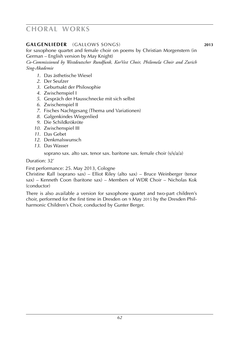### **galgenlieder** (gallows songs) **2013**

for saxophone quartet and female choir on poems by Christian Morgenstern (in German – English version by May Knight)

*Co-Commissioned by Westdeutscher Rundfunk, KorVest Choir, Philomela Choir and Zurich Sing-Akademie*

- *1*. Das ästhetische Wiesel
- *2*. Der Seufzer
- *3*. Geburtsakt der Philosophie
- *4*. Zwischenspiel I
- *5*. Gespräch der Hausschnecke mit sich selbst
- *6*. Zwischenspiel II
- *7*. Fisches Nachtgesang (Thema und Variationen)
- *8*. Galgenkindes Wiegenlied
- *9*. Die Schildkrökröte
- *10*. Zwischenspiel III
- *11*. Das Gebet
- *12*. Denkmalswunsch
- *13*. Das Wasser

soprano sax. alto sax. tenor sax. baritone sax. female choir (s/s/a/a)

Duration: 32'

First performance: 25. May 2013, Cologne

Christine Rall (soprano sax) – Elliot Riley (alto sax) – Bruce Weinberger (tenor sax) – Kenneth Coon (baritone sax) – Members of WDR Choir – Nicholas Kok (conductor)

There is also available a version for saxophone quartet and two-part children's choir, performed for the first time in Dresden on 9 May 2015 by the Dresden Philharmonic Children's Choir, conducted by Gunter Berger.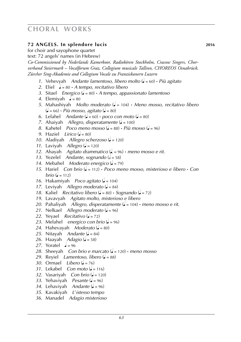### **72 angels. In splendore lucis 2016**

for choir and sayophone quartet

text: 72 angels' names (in Hebrew)

*Co-Commissioned by Nederlands Kamerkoor, Radiokören Stockholm, Cracow Singers, Chorverband Steiermark – Vocalforum Graz, Collegium musicale Tallinn, CHOREOS Osnabrück, Zürcher Sing-Akademie and Collegium Vocale zu Franziskanern Luzern*

- *1*. Vehevyah *Andante lamentoso, libero molto* (q = 60) **·** *Più agitato*
- 2. Eliel  $\sqrt{a} = 80 \cdot A$  tempo, recitativo libero
- *3*. Sitael *Energico* (q = 80) **·** *A tempo, appassionato lamentoso*
- 4. Elemiyah  $\frac{1}{2} = 80$
- *5*. Mahashiyah *Molto moderato* (q = 104) **·** *Meno mosso, recitativo libero*  $\left(\bullet = 66\right) \cdot$  *Più mosso, agitato*  $\left(\bullet = 80\right)$
- *6*. Lelahel *Andante* ( $\sqrt{ }$  = 60) **·** *poco con moto* ( $\sqrt{ }$  = 80)
- *7.* Ahaiyah *Allegro, disperatamente* ( $\sqrt{ }$  = 100)
- *8.* Kahetel *Poco meno mosso* ( $\epsilon$  = 88) **·** *Più mosso* ( $\epsilon$  = 96)
- *9.* Haziel *Lirico* ( $\sqrt{ } = 80$ )
- 10. Aladiyah *Allegro scherzoso* ( $= 120$ )
- *11.* Laviyah *Allegro* ( $= 120$ )
- *12*. Ahayah *Agitato drammatico* (q. = 96) **·** *meno mosso e rit.*
- 13. Yezelel *Andante, sognando* ( $\epsilon$  = 58)
- 14. Mebahel *Moderato energico* ( $\epsilon$  = 79)
- *15*. Hariel *Con brio* (q = 112) **·** *Poco meno mosso, misterioso e libero* **·** *Con brio* ( $= 112$ )
- *16.* Hakamiyah *Poco agitato* ( $\sqrt{ }$  = 104)
- 17. Leviyah *Allegro moderato* ( $\sqrt{ }$  = 84)
- 18. Kaliel *Recitativo libero* ( $\sqrt{ }$  = 80) **·** *Sognando* ( $\sqrt{ }$  = 72)
- *19*. Lavavyah *Agitato molto, misterioso e libero*
- *20*. Pahaliyah *Allegro, disperatamente* (q = 104) **·** *meno mosso e rit.*
- 21. Nelkael *Allegro moderato* ( $\sqrt{ }$  = 96)
- 22. Yeyael *Recitativo* ( $= 72$ )
- 23. Melahel *energico con brio* ( $\sqrt{ }$  = 96)
- 24. Hahevayah *Moderato* ( $\sqrt{ }$  = 80)
- 25. Nitavah *Andante* ( $\sqrt{ }$  = 84)
- 26. Haayah *Adagio* ( $\bullet$  = 58)
- 27. Yoratel  $\rightarrow$  = 96
- 28. Sheeyah *Con brio e marcato* ( $\bullet$  = 120)  $\cdot$  *meno mosso*
- *29.* Reyiel *Lamentoso, libero* ( $\bullet$  = 88)
- *30*. Ormael *Libero* (q = 76)
- *31*. Lekabel *Con moto* (q = 116)
- *32.* Vasariyah *Con brio* ( $\bullet$  = 120)
- 33. Yehaviyah *Pesante* ( $\bullet$  = 96)
- 34. Lehaviyah *Andante* ( $= 96$ )
- *35*. Kavakiyah *L*'*istesso tempo*
- *36*. Manadel *Adagio misterioso*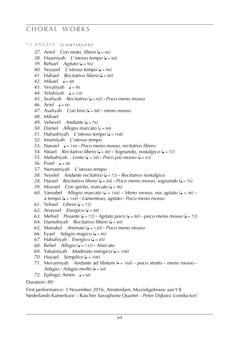### 72 ANGELS [CONTINUED]

- *37.* Aniel *Con moto, libero* ( $\sqrt{ }$  = 66)
- *38.* Haamiyah *L'istesso tempo* ( $\bullet$  = 66)
- *39.* Rehael *Agitato* ( $\sqrt{ }$  = 96)
- *40.* Yeyazel *L'istesso tempo* ( $\sqrt{ }$  = 96)
- 41. Hahael *Recitativo libero* ( $\epsilon$  = 80)
- 42. Mikael  $\rightarrow$  = 88
- 43. Vevaliyah  $\sqrt{=}$  = 90
- 44. Yelahiyah  $\sqrt{=}$  = 120
- *45*. Sealiyah *Recitativo* (q = 60) **·** *Poco meno mosso*
- 46. Ariel  $\neq 60$
- *47.* Asaliyah *Con brio* ( $\sqrt{ }$  = 88)  $\cdot$  *meno mosso*
- *48*. Mihael
- 49. Vehevel *Andante* ( $\sqrt{a} = 76$ )
- *50.* Daniel *Allegro marcato* ( $\epsilon$  = 84)
- *51*. Hahashiyah *L'istesso tempo* ( $= 168$ )
- *52*. Imamiyah *L*'*istesso tempo*
- *53*. Nanael q = 144 **·** *Poco meno mosso, recitativo libero*
- *54.* Nitael *Recitativo libero* ( $\sqrt{=}80$ ) **·** *Sognando, nostalgico* ( $\sqrt{}=72$ )
- *55.* Mebahiyah *Lento* ( $\sqrt{ }$  = 58) **·** *Poco più mosso* ( $\sqrt{ }$  = 63)
- *56*. Poiel  $\neq 88$
- *57*. Nemamiyah *L*'*istesso tempo*
- *58*. Yeyelel *Andante recitativo* (q = 72) **·** *Recitativo nostalgico*
- 24. Harael *Recitativo libero* ( $\bullet$  = 84) **·** *Poco meno mosso, sognando* ( $\bullet$  = 76)
- *59.* Mizrael *Con spirito, marcato* ( $\sqrt{ }$  = 96)
- *60*. Vamabel *Allegro marcato* ( $\sqrt{ }$  = 144) **·** *Meno mosso, ma agitato* ( $\sqrt{ }$  = 96) **·** *a tempo* (q = 144) **·** *Lamentoso, agitato* **·** *Poco meno mosso*
- 61. Yehael *Libero* ( $\sqrt{2}$  = 72)
- *62.* Anayuel *Energico* ( $\sqrt{ }$  = 88)
- *63.* Mehiel *Pesante* ( $\bullet$  = 72) **·** *Agitato poco* ( $\bullet$  = 80) **·** *poco meno mosso* ( $\bullet$  = 72)
- *64.* Damebiyah *Recitativo libero* ( $\bullet$  = 60)
- *65*. Manakel *Animato* (q = 120) **·** *Poco meno mosso*
- *66.* Eyael *Adagio magico* ( $\sqrt{=}$  = 46)
- 67. Habahiyah *Energico* ( $\sqrt{ }$  = 84)
- *68*. Rehel *Allegro* (q = 132) **·** *Marcato*
- *69.* Yabamiyah *Moderato energico* ( $\sqrt{ }$  = 108)
- *70.* Hayael *Semplice* ( $\sqrt{ }$  = 108)
- *71.* Mevamiyah *Andante ad libitum*  $(e = 168)$  **·** *poco stretto* **·** *meno mosso* ·  $Adagio \cdot Adagio \text{ molto } (e = 60)$
- *72.* Epilogo: Amen  $\sqrt{ }$  = 60

### Duration: 89'

First performance: 3 November 2016, Amsterdam, Muziekgebouw aan't IJ Nederlands Kamerkoor – Raschèr Saxophone Quartet – Peter Dijkstra (conductor)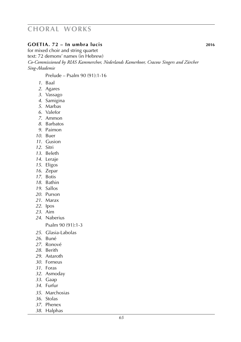### **goetia. 72 – In umbra lucis 2016**

for mixed choir and string quartet text: 72 demons' names (in Hebrew) *Co-Commissioned by RIAS Kammerchor, Nederlands Kamerkoor, Cracow Singers and Zürcher Sing-Akademie*

Prelude – Psalm 90 (91):1-16

- . Baal
- . Agares
- . Vassago
- . Samigina
- . Marbas
- . Valefor
- . Ammon
- . Barbatos
- . Paimon
- . Buer
- . Gusion
- . Sitri
- . Beleth
- . Leraje
- . Eligos
- . Zepar
- . Botis
- . Bathin
- . Sallos
- . Purson
- . Marax
- . Ipos
- . Aim
- . Naberius

Psalm 90 (91):1-3

- . Glasia-Labolas
- . Buné
- . Ronové
- . Berith
- . Astaroth
- . Forneus
- . Foras
- . Asmoday
- . Gaap
- . Furfur
- . Marchosias
- . Stolas
- . Phenex
- . Halphas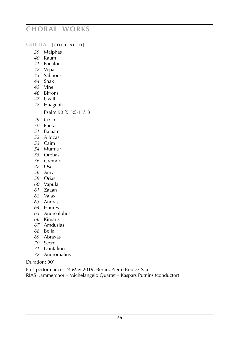#### **GOETIA** [CONTINUED]

- . Malphas
- . Raum
- . Focalor
- . Vepar
- . Sabnock
- . Shax
- . Vine
- . Bifrons
- . Uvall
- . Haagenti

Psalm 90 (91):5-11/13

- . Crokel
- . Furcas
- . Balaam
- . Allocas
- . Caim
- . Murmur
- . Orobas
- . Gremori
- . Ose
- . Amy
- . Orias
- . Vapula
- . Zagan
- . Valax
- . Andras
- . Haures
- . Andrealphus
- . Kimaris
- . Amdusias
- . Belial
- . Abraxas
- . Seere
- . Dantalion
- . Andromalius

#### Duration: 90'

First performance: 24 May 2019, Berlin, Pierre Boulez Saal

RIAS Kammerchor – Michelangelo Quartet – Kaspars Putnins (conductor)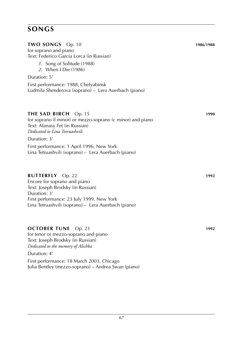## **TWO SONGS** Op. 10 **1986**/**1988** for soprano and piano Text: Federico García Lorca (in Russian) *1*. Song of Solitude (1988) *2*. When I Die (1986) Duration: 5' First performance: 1988, Chelyabinsk Ludmila Shenderova (soprano) – Lera Auerbach (piano) **the SAD BIRCH** Op. 15 **1990** for soprano (f minor) or mezzo-soprano (c minor) and piano Text: Afanasy Fet (in Russian) *Dedicated to Lina Tetruashvili* Duration: 3' First performance: 1 April 1996, New York Lina Tetruashvili (soprano) – Lera Auerbach (piano) **BUTTERFLY** Op. 22 **1992** Encore for soprano and piano Text: Joseph Brodsky (in Russian) Duration: 3' First performance: 23 July 1999, New York Lina Tetruashvili (soprano) – Lera Auerbach (piano)

#### **OCTOBER TUNE** Op. 23 **1992**

for tenor or mezzo-soprano and piano Text: Joseph Brodsky (in Russian) *Dedicated to the memory of Alichka*

#### Duration: 4'

First performance: 18 March 2003, Chicago Julia Bentley (mezzo-soprano) – Andrea Swan (piano)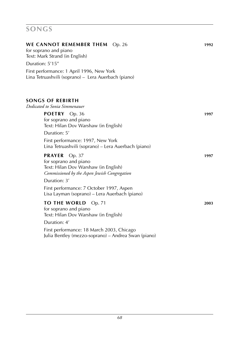| WE CANNOT REMEMBER THEM Op. 26<br>for soprano and piano<br>Text: Mark Strand (in English)                                                 | 1992 |
|-------------------------------------------------------------------------------------------------------------------------------------------|------|
| Duration: 5'15"                                                                                                                           |      |
| First performance: 1 April 1996, New York<br>Lina Tetruashvili (soprano) - Lera Auerbach (piano)                                          |      |
| <b>SONGS OF REBIRTH</b><br>Dedicated to Sonia Simmenauer                                                                                  |      |
| POETRY Op. 36<br>for soprano and piano<br>Text: Hilan Dov Warshaw (in English)                                                            | 1997 |
| Duration: 5'<br>First performance: 1997, New York<br>Lina Tetruashvili (soprano) – Lera Auerbach (piano)                                  |      |
| <b>PRAYER</b><br>Op. 37<br>for soprano and piano<br>Text: Hilan Dov Warshaw (in English)<br>Commissioned by the Aspen Jewish Congregation | 1997 |
| Duration: 3'<br>First performance: 7 October 1997, Aspen<br>Lisa Layman (soprano) – Lera Auerbach (piano)                                 |      |
| TO THE WORLD<br>Op. 71<br>for soprano and piano<br>Text: Hilan Dov Warshaw (in English)                                                   | 2003 |
| Duration: 4'                                                                                                                              |      |
| First performance: 18 March 2003, Chicago<br>Julia Bentley (mezzo-soprano) – Andrea Swan (piano)                                          |      |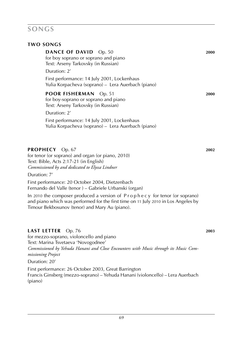#### **TWO SONGS**

| <b>DANCE OF DAVID</b> Op. 50<br>for boy soprano or soprano and piano<br>Text: Arseny Tarkovsky (in Russian)<br>Duration: 2'                                                                                        | 2000 |
|--------------------------------------------------------------------------------------------------------------------------------------------------------------------------------------------------------------------|------|
| First performance: 14 July 2001, Lockenhaus<br>Yulia Korpacheva (soprano) – Lera Auerbach (piano)                                                                                                                  |      |
| <b>POOR FISHERMAN</b> Op. 51<br>for boy-soprano or soprano and piano<br>Text: Arseny Tarkovsky (in Russian)                                                                                                        | 2000 |
| Duration: 2'                                                                                                                                                                                                       |      |
| First performance: 14 July 2001, Lockenhaus<br>Yulia Korpacheva (soprano) – Lera Auerbach (piano)                                                                                                                  |      |
| PROPHECY Op. 67                                                                                                                                                                                                    | 2002 |
| for tenor (or soprano) and organ (or piano, 2010)<br>Text: Bible, Acts 2:17-21 (in English)<br>Commissioned by and dedicated to Elyssa Lindner                                                                     |      |
| Duration: 7'                                                                                                                                                                                                       |      |
| First performance: 20 October 2004, Dietzenbach<br>Fernando del Valle (tenor) – Gabriele Urbanski (organ)                                                                                                          |      |
| In 2010 the composer produced a version of Prophecy for tenor (or soprano)<br>and piano which was performed for the first time on 11 July 2010 in Los Angeles by<br>Timour Bekbosunov (tenor) and Mary Au (piano). |      |

### **LAST LETTER** Op. 76 **2003**

for mezzo-soprano, violoncello and piano Text: Marina Tsvetaeva 'Novogodnee' *Commissioned by Yehuda Hanani and Close Encounters with Music through its Music Commissioning Project*

Duration: 20'

First performance: 26 October 2003, Great Barrington Francis Ginsberg (mezzo-soprano) – Yehuda Hanani (violoncello) – Lera Auerbach (piano)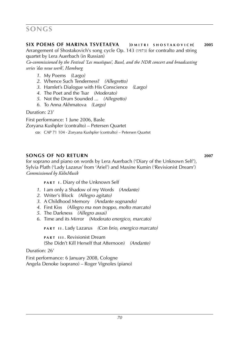**SIX POEMS OF MARINA TSVETAEVA** [DMITRL SHOSTAKOVICH] 2005

Arrangement of Shostakovich's song cycle Op. 143 (1973) for contralto and string quartet by Lera Auerbach (in Russian)

*Co-commissioned by the Festival 'Les muséiques', Basel, and the NDR concert and broadcasting series 'das neue werk', Hamburg*

- *1*. My Poems *(Largo)*
- *2*. Whence Such Tenderness? *(Allegretto)*
- *3*. Hamlet's Dialogue with His Conscience *(Largo)*
- *4*. The Poet and the Tsar *(Moderato)*
- *5*. Not the Drum Sounded ... *(Allegretto)*
- *6*. To Anna Akhmatova *(Largo)*

Duration: 23'

First performance: 1 June 2006, Basle Zoryana Kushpler (contralto) – Petersen Quartet **cp:** CAP 71 104 · Zorvana Kushpler (contralto) – Petersen Quartet

### **songs of no return 2007**

for soprano and piano on words by Lera Auerbach ('Diary of the Unknown Self'), Sylvia Plath ('Lady Lazarus' from 'Ariel') and Maxine Kumin ('Revisionist Dream') *Commissioned by KölnMusik*

**PART I. Diary of the Unknown Self** 

- *1*. I am only a Shadow of my Words *(Andante)*
- *2*. Writer's Block *(Allegro agitato)*
- *3*. A Childhood Memory *(Andante sognando)*
- *4*. First Kiss *(Allegro ma non troppo, molto marcato)*
- *5*. The Darkness *(Allegro assai)*
- *6*. Time and its Mirror *(Moderato energico, marcato)*

**p a r t i i** . Lady Lazarus *(Con brio, energico marcato)*

**PART III. Revisionist Dream** (She Didn't Kill Herself that Afternoon) *(Andante)*

Duration: 26'

First performance: 6 January 2008, Cologne Angela Denoke (soprano) – Roger Vignoles (piano)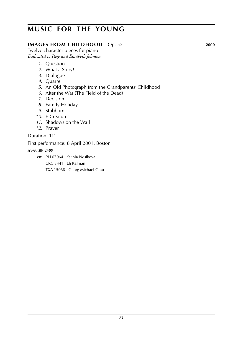# **music for the young**

### **IMAGES FROM CHILDHOOD** Op. 52 **2000**

Twelve character pieces for piano *Dedicated to Page and Elisabeth Johnson*

- *1*. Question
- *2*. What a Story!
- *3*. Dialogue
- *4*. Quarrel
- *5*. An Old Photograph from the Grandparents' Childhood
- *6*. After the War (The Field of the Dead)
- *7*. Decision
- *8*. Family Holiday
- *9*. Stubborn
- *10*. E-Creatures
- *11*. Shadows on the Wall
- *12*. Prayer

Duration: 11'

First performance: 8 April 2001, Boston

#### *score:* **sik 2405**

**cd**: pH 07064 · Ksenia Nosikova

crc 3441 · Eli Kalman

txa 15068 · Georg Michael Grau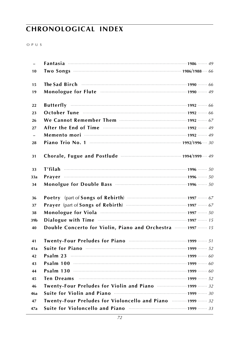# **CHRONOLOGICAL INDEX**

 $O P U S$ 

| $\equiv$                 |                                                                                                                                                                                                                                |  |
|--------------------------|--------------------------------------------------------------------------------------------------------------------------------------------------------------------------------------------------------------------------------|--|
| 10                       |                                                                                                                                                                                                                                |  |
| 15                       |                                                                                                                                                                                                                                |  |
| 19                       | Monologue for Flute manufactured and the 1990 manufactured as                                                                                                                                                                  |  |
| 22                       |                                                                                                                                                                                                                                |  |
| 23                       | October Tune manufactured and 1992 manufactured and 1992 manufactured and 1992 manufactured and 1992 manufactured and 1992 manufactured and 1992 manufactured and 1992 manufactured and 1993 manufactured and 1992 manufacture |  |
| 26                       |                                                                                                                                                                                                                                |  |
| 27                       | After the End of Time manufactured and 1992 manufactured and 49                                                                                                                                                                |  |
| $\overline{\phantom{a}}$ |                                                                                                                                                                                                                                |  |
| 28                       |                                                                                                                                                                                                                                |  |
| 31                       |                                                                                                                                                                                                                                |  |
| 33                       |                                                                                                                                                                                                                                |  |
| 33a                      |                                                                                                                                                                                                                                |  |
| 34                       | Monolgue for Double Bass manufactured and 1996 manufactured 50                                                                                                                                                                 |  |
| 36                       |                                                                                                                                                                                                                                |  |
| 37                       |                                                                                                                                                                                                                                |  |
| 38                       |                                                                                                                                                                                                                                |  |
| 39b                      |                                                                                                                                                                                                                                |  |
| 40                       | Double Concerto for Violin, Piano and Orchestra  1997  15                                                                                                                                                                      |  |
| 41                       |                                                                                                                                                                                                                                |  |
| 41a                      |                                                                                                                                                                                                                                |  |
| 42                       |                                                                                                                                                                                                                                |  |
| 43                       |                                                                                                                                                                                                                                |  |
| 44                       | <b>Psalm 130</b> $\cdots$ 60                                                                                                                                                                                                   |  |
| 45                       |                                                                                                                                                                                                                                |  |
| 46                       | Twenty-Four Preludes for Violin and Piano manufactum 1999 mm 32                                                                                                                                                                |  |
| 46a                      |                                                                                                                                                                                                                                |  |
| 47                       |                                                                                                                                                                                                                                |  |
|                          | Twenty-Four Preludes for Violoncello and Piano  1999  32                                                                                                                                                                       |  |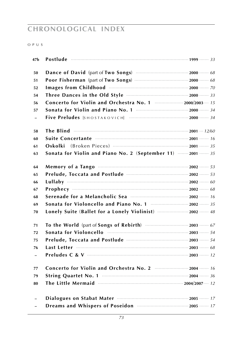# **chronological index**

#### o p u s

| 47b                      |                                                                                                         |  |
|--------------------------|---------------------------------------------------------------------------------------------------------|--|
| 50                       |                                                                                                         |  |
| 51                       |                                                                                                         |  |
| 52                       | Images from Childhood <b>Manual</b> Childhood 2000 Manual 2000 Manual 2000 Manual 2000                  |  |
| 54                       |                                                                                                         |  |
| 56                       | Concerto for Violin and Orchestra No. 1  2000/2003 15                                                   |  |
| 57                       |                                                                                                         |  |
| $\overline{\phantom{a}}$ |                                                                                                         |  |
| 58                       | The Blind $\cdots$ and $\cdots$ and $\cdots$ and $\cdots$ and $\cdots$ and $\cdots$ 2001 $\cdots$ 12/60 |  |
| 60                       | Suite Concertante manufactured and 16                                                                   |  |
| 61                       | Oskolki                                                                                                 |  |
| 63                       | Sonata for Violin and Piano No. 2 (September 11)  2001  35                                              |  |
| 64                       |                                                                                                         |  |
| 65                       |                                                                                                         |  |
| 66                       |                                                                                                         |  |
| 67                       |                                                                                                         |  |
| 68                       |                                                                                                         |  |
| 69                       |                                                                                                         |  |
| 70                       | Lonely Suite (Ballet for a Lonely Violinist)  2002  48                                                  |  |
| 71                       |                                                                                                         |  |
| 72                       | Sonata for Violoncello <b>must consume the contract of the Sonata</b> for Violoncello                   |  |
| 75                       |                                                                                                         |  |
| 76                       |                                                                                                         |  |
| $\overline{\phantom{a}}$ |                                                                                                         |  |
| 77                       |                                                                                                         |  |
| 79                       |                                                                                                         |  |
| 80                       | The Little Mermaid manufactured and 2004/2007 m 12                                                      |  |
| $\overline{\phantom{a}}$ |                                                                                                         |  |
| ÷,                       |                                                                                                         |  |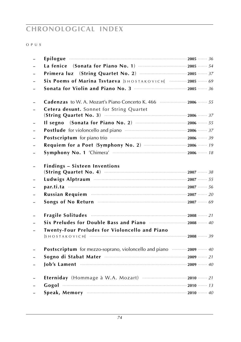# **chronological index**

#### o p u s

| Epilogue 36                                                            |  |
|------------------------------------------------------------------------|--|
|                                                                        |  |
|                                                                        |  |
| Six Poems of Marina Tsvtaeva [SHOSTAKOVICH]  2005  69                  |  |
|                                                                        |  |
|                                                                        |  |
| <b>Cetera desunt.</b> Sonnet for String Quartet                        |  |
|                                                                        |  |
|                                                                        |  |
| Postlude for violoncello and piano manufacture and 2006 manufacture 27 |  |
| Postscriptum for piano trio manufacture contract 2006 manufacture 39   |  |
|                                                                        |  |
|                                                                        |  |
| <b>Findings - Sixteen Inventions</b>                                   |  |
|                                                                        |  |
|                                                                        |  |
|                                                                        |  |
|                                                                        |  |
| Fragile Solitudes manufactured and the 21                              |  |
| Six Preludes for Double Bass and Piano manufactures 2008 mm 40         |  |
| <b>Twenty-Four Preludes for Violoncello and Piano</b>                  |  |
|                                                                        |  |
| Postscriptum for mezzo-soprano, violoncello and piano  2009  40        |  |
|                                                                        |  |
|                                                                        |  |
|                                                                        |  |
|                                                                        |  |
|                                                                        |  |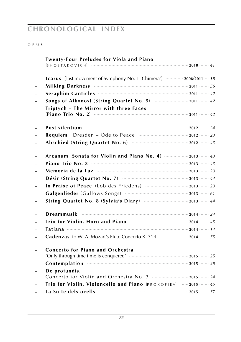## **chronological index**

#### o p u s

| <b>Twenty-Four Preludes for Viola and Piano</b>                                                                                                                                                                                      |  |
|--------------------------------------------------------------------------------------------------------------------------------------------------------------------------------------------------------------------------------------|--|
|                                                                                                                                                                                                                                      |  |
| Icarus (last movement of Symphony No. 1 'Chimera') ………… 2006/2011… 18                                                                                                                                                                |  |
| Milking Darkness <b>Commission Commission</b> 2011 Commission 2011                                                                                                                                                                   |  |
|                                                                                                                                                                                                                                      |  |
| Songs of Alkonost (String Quartet No. 5)  2011  42                                                                                                                                                                                   |  |
| Triptych - The Mirror with three Faces                                                                                                                                                                                               |  |
| Post silentium <b>contract to the contract of the contract of the contract of the contract of the contract of the contract of the contract of the contract of the contract of the contract of the contract of the contract of th</b> |  |
|                                                                                                                                                                                                                                      |  |
|                                                                                                                                                                                                                                      |  |
| Arcanum (Sonata for Violin and Piano No. 4)  2013  43                                                                                                                                                                                |  |
|                                                                                                                                                                                                                                      |  |
|                                                                                                                                                                                                                                      |  |
|                                                                                                                                                                                                                                      |  |
|                                                                                                                                                                                                                                      |  |
|                                                                                                                                                                                                                                      |  |
|                                                                                                                                                                                                                                      |  |
|                                                                                                                                                                                                                                      |  |
|                                                                                                                                                                                                                                      |  |
|                                                                                                                                                                                                                                      |  |
| Cadenzas to W. A. Mozart's Flute Concerto K. 314  2014  55                                                                                                                                                                           |  |
| <b>Concerto for Piano and Orchestra</b>                                                                                                                                                                                              |  |
|                                                                                                                                                                                                                                      |  |
| De profundis.                                                                                                                                                                                                                        |  |
| Trio for Violin, Violoncello and Piano [PROKOFIEV] 2015  45                                                                                                                                                                          |  |
|                                                                                                                                                                                                                                      |  |
|                                                                                                                                                                                                                                      |  |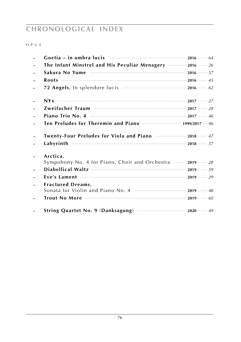## **chronological index**

#### o p u s

| The Infant Minstrel and His Peculiar Menagery  2016  26              |  |
|----------------------------------------------------------------------|--|
|                                                                      |  |
| <b>Roots</b> $\cdots$ 2016 $\cdots$ 45                               |  |
|                                                                      |  |
|                                                                      |  |
|                                                                      |  |
|                                                                      |  |
|                                                                      |  |
| Twenty-Four Preludes for Viola and Piano  2018  47                   |  |
|                                                                      |  |
| Arctica.<br>Sympohony No. 4 for Piano, Choir and Orchestra  2019  28 |  |
|                                                                      |  |
|                                                                      |  |
| <b>Fractured Dreams.</b>                                             |  |
|                                                                      |  |
|                                                                      |  |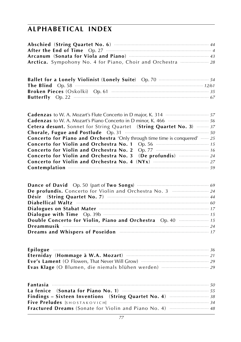# **alphabetical index**

| <b>Ballet for a Lonely Violinist (Lonely Suite)</b> Op. 70 <b>manual contract on the State</b> |  |
|------------------------------------------------------------------------------------------------|--|
|                                                                                                |  |
|                                                                                                |  |
|                                                                                                |  |

| <b>Cadenzas</b> to W. A. Mozart's Flute Concerto in D major, K. 314 <b></b> 57                 |
|------------------------------------------------------------------------------------------------|
| <b>Cadenzas</b> to W. A. Mozart's Piano Concerto in D minor, K. 466 <b>Manual</b> Section 4.66 |
| Cetera desunt. Sonnet for String Quartet (String Quartet No. 3)  37                            |
|                                                                                                |
| <b>Concerto for Piano and Orchestra</b> 'Only through time time is conquered'  25              |
|                                                                                                |
|                                                                                                |
|                                                                                                |
|                                                                                                |
| Contemplation 39                                                                               |

| De profundis. Concerto for Violin and Orchestra No. 3  24                    |
|------------------------------------------------------------------------------|
|                                                                              |
| Diabellical Waltz municipalized and the proposition of the Diabellical Waltz |
|                                                                              |
|                                                                              |
| Double Concerto for Violin, Piano and Orchestra Op. 40 manufacturers 15      |
|                                                                              |
| Dreams and Whispers of Poseidon <b>contract the Contract of Taylor</b> 17    |

| Epilogue $\cdots$ 36 |  |
|----------------------|--|
|                      |  |
|                      |  |
|                      |  |

| Findings – Sixteen Inventions (String Quartet No. 4) $\cdots$ $\cdots$ $\cdots$ $\cdots$ |  |
|------------------------------------------------------------------------------------------|--|
|                                                                                          |  |
|                                                                                          |  |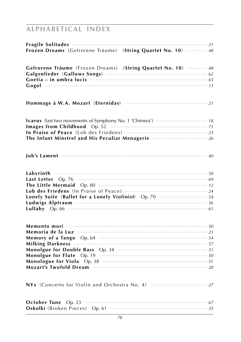# **ALPHABETICAL INDEX**

| Fragile Solitudes <b>Constitution</b> 21<br>Frozen Dreams (Gefrorene Träume) (String Quartet No. 10)  48                                                                                                                            |  |
|-------------------------------------------------------------------------------------------------------------------------------------------------------------------------------------------------------------------------------------|--|
|                                                                                                                                                                                                                                     |  |
| Gefrorene Träume (Frozen Dreams) (String Quartet No. 10)  48                                                                                                                                                                        |  |
| Goetia - in umbra lucis <b>and international contract of the contract of the Coetia</b> - in                                                                                                                                        |  |
|                                                                                                                                                                                                                                     |  |
|                                                                                                                                                                                                                                     |  |
|                                                                                                                                                                                                                                     |  |
|                                                                                                                                                                                                                                     |  |
| Images from Childhood Op. 52 <b>manufactures</b> 71                                                                                                                                                                                 |  |
|                                                                                                                                                                                                                                     |  |
| The Infant Minstrel and His Peculiar Menagerie <b></b> 26                                                                                                                                                                           |  |
| Job's Lament $\cdots$ 40                                                                                                                                                                                                            |  |
|                                                                                                                                                                                                                                     |  |
|                                                                                                                                                                                                                                     |  |
| Last Letter Op. 76 <b>manual contract of the Contract Op.</b> 76 months of the contract of the Contract of the Contract of the Contract of the Contract of the Contract of the Contract of the Contract of the Contract of the Cont |  |
| The Little Mermaid Op. 80 <b>manufactures</b> 12                                                                                                                                                                                    |  |
|                                                                                                                                                                                                                                     |  |
| Lonely Suite (Ballet for a Lonely Violinist) Op. 70 <b>Manual</b> State 54                                                                                                                                                          |  |
| Ludwigs Alptraum manufactured to the state of 56                                                                                                                                                                                    |  |
|                                                                                                                                                                                                                                     |  |
|                                                                                                                                                                                                                                     |  |
|                                                                                                                                                                                                                                     |  |
| Memory of a Tango Op. 64 manufactured contains the state of 54                                                                                                                                                                      |  |
|                                                                                                                                                                                                                                     |  |
| Monolgue for Double Bass Op. 34 manufactures and the state of 51                                                                                                                                                                    |  |
|                                                                                                                                                                                                                                     |  |
|                                                                                                                                                                                                                                     |  |
|                                                                                                                                                                                                                                     |  |
|                                                                                                                                                                                                                                     |  |
| October Tune Op. 23 manufactured and the format of the format of the ST of the ST of the ST of the ST of the ST                                                                                                                     |  |
|                                                                                                                                                                                                                                     |  |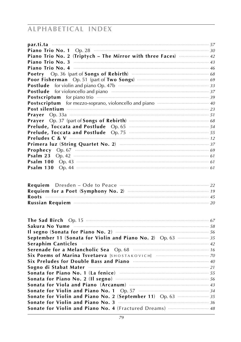# **ALPHABETICAL INDEX**

| <b>Piano Trio No. 1</b> Op. 28 <b><i>Piano Trio No. 1</i></b> Op. 28 <b><i>Piano Trio No. 1</i></b> Op. 28 <b><i>Piano 10</i></b>                                                                                                         |
|-------------------------------------------------------------------------------------------------------------------------------------------------------------------------------------------------------------------------------------------|
| Piano Trio No. 2 (Triptych - The Mirror with three Faces)  42                                                                                                                                                                             |
|                                                                                                                                                                                                                                           |
|                                                                                                                                                                                                                                           |
|                                                                                                                                                                                                                                           |
|                                                                                                                                                                                                                                           |
|                                                                                                                                                                                                                                           |
| Postlude for violoncello and piano manufactured and piano 37                                                                                                                                                                              |
| Postscriptum for piano trio manufacture and the set of 39                                                                                                                                                                                 |
| Postscriptum for mezzo-soprano, violoncello and piano manufacture and all                                                                                                                                                                 |
| Post silentium <b>maturity</b> and the contract of the contract of the contract of the contract of the contract of the contract of the contract of the contract of the contract of the contract of the contract of the contract of        |
|                                                                                                                                                                                                                                           |
|                                                                                                                                                                                                                                           |
| Prelude, Toccata and Postlude Op. 65 minutes and District Control of the Op. 65                                                                                                                                                           |
| Prelude, Toccata and Postlude Op. 75 <b>manufactures</b> 15 and 55                                                                                                                                                                        |
|                                                                                                                                                                                                                                           |
|                                                                                                                                                                                                                                           |
|                                                                                                                                                                                                                                           |
| <b>Psalm 23</b> Op. 42 $\cdots$ 61                                                                                                                                                                                                        |
| <b>Psalm 100</b> Op. 43 <b>CONSUMING CONSUMING CONSUMING CONSUMING CONSUMING CONSUMING CONSUMING CONSUMING CONSUMING CONSUMING CONSUMING CONSUMING CONSUMING CONSUMING CONSUMING CONSUMING CONSUMING CONSUMING CONSUMING CONSUMING CO</b> |
|                                                                                                                                                                                                                                           |
|                                                                                                                                                                                                                                           |
|                                                                                                                                                                                                                                           |
|                                                                                                                                                                                                                                           |
|                                                                                                                                                                                                                                           |
|                                                                                                                                                                                                                                           |

| The Sad Birch Op. 15 <b>manufactures</b> (57 and 57)                                      |
|-------------------------------------------------------------------------------------------|
| <b>September 11 (Sonata for Violin and Piano No. 2)</b> Op. 63 <b><i>mmmmmmmmm 35</i></b> |
| Seraphim Canticles <b>Example 20</b> 22                                                   |
|                                                                                           |
|                                                                                           |
| Six Preludes for Double Bass and Piano <b>manufactures</b> and the 40                     |
|                                                                                           |
| Sonata for Piano No. 1 (La fenice) manufacture and the state of 55                        |
| Sonata for Piano No. 2 (Il segno) manufacture and sonata for Piano No. 2 (Il segno)       |
|                                                                                           |
|                                                                                           |
| Sonate for Violin and Piano No. 2 (September 11) Op. 63  35                               |
|                                                                                           |
|                                                                                           |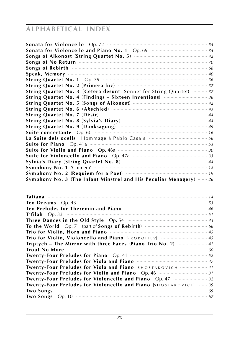# **alphabetical index**

| Sonata for Violoncello and Piano No. 1 Op. 69 manufactures of 35                                                                                                                                                                                                                               |  |
|------------------------------------------------------------------------------------------------------------------------------------------------------------------------------------------------------------------------------------------------------------------------------------------------|--|
|                                                                                                                                                                                                                                                                                                |  |
|                                                                                                                                                                                                                                                                                                |  |
| Songs of No Return <b>Commission Commission</b> and Township and To                                                                                                                                                                                                                            |  |
| Songs of Rebirth <b>Commission Commission</b> Commission Commission Commission Commission Commission Commission                                                                                                                                                                                |  |
|                                                                                                                                                                                                                                                                                                |  |
| String Quartet No. 1 Op. 79 $\frac{1}{36}$                                                                                                                                                                                                                                                     |  |
|                                                                                                                                                                                                                                                                                                |  |
| String Quartet No. 3 (Cetera desunt. Sonnet for String Quartet)  37                                                                                                                                                                                                                            |  |
| String Quartet No. 4 (Findings - Sixteen Inventions) $\frac{1}{1}$ 38                                                                                                                                                                                                                          |  |
|                                                                                                                                                                                                                                                                                                |  |
|                                                                                                                                                                                                                                                                                                |  |
|                                                                                                                                                                                                                                                                                                |  |
|                                                                                                                                                                                                                                                                                                |  |
|                                                                                                                                                                                                                                                                                                |  |
| String Quartet No. 9 (Danksagung) 3. 19 (2014) 2016                                                                                                                                                                                                                                            |  |
|                                                                                                                                                                                                                                                                                                |  |
|                                                                                                                                                                                                                                                                                                |  |
|                                                                                                                                                                                                                                                                                                |  |
|                                                                                                                                                                                                                                                                                                |  |
|                                                                                                                                                                                                                                                                                                |  |
|                                                                                                                                                                                                                                                                                                |  |
|                                                                                                                                                                                                                                                                                                |  |
| Symphony No. 3 (The Infant Minstrel and His Peculiar Menagery)  26                                                                                                                                                                                                                             |  |
|                                                                                                                                                                                                                                                                                                |  |
|                                                                                                                                                                                                                                                                                                |  |
|                                                                                                                                                                                                                                                                                                |  |
|                                                                                                                                                                                                                                                                                                |  |
|                                                                                                                                                                                                                                                                                                |  |
|                                                                                                                                                                                                                                                                                                |  |
|                                                                                                                                                                                                                                                                                                |  |
|                                                                                                                                                                                                                                                                                                |  |
| Three Dances in the Old Style Op. 54 manuscription of the Dances 33                                                                                                                                                                                                                            |  |
|                                                                                                                                                                                                                                                                                                |  |
| Trio for Violin, Horn and Piano <b>Communication and Piano</b>                                                                                                                                                                                                                                 |  |
|                                                                                                                                                                                                                                                                                                |  |
| Triptych - The Mirror with three Faces (Piano Trio No. 2)  42<br>Trout No More manufactured to the contract of the contract of the contract of the contract of the contract of the contract of the contract of the contract of the contract of the contract of the contract of the contract of |  |
|                                                                                                                                                                                                                                                                                                |  |
|                                                                                                                                                                                                                                                                                                |  |
| Twenty-Four Preludes for Viola and Piano <b>manufactures</b> 17                                                                                                                                                                                                                                |  |
| Twenty-Four Preludes for Viola and Piano [SHOSTAKOVICH]  41                                                                                                                                                                                                                                    |  |
| Twenty-Four Preludes for Violin and Piano Op. 46 <b>manual</b> 2003-31                                                                                                                                                                                                                         |  |
| Twenty-Four Preludes for Violoncello and Piano Op. 47 manual masses 32                                                                                                                                                                                                                         |  |
| Twenty-Four Preludes for Violoncello and Piano [SHOSTAKOVICH]  39                                                                                                                                                                                                                              |  |
|                                                                                                                                                                                                                                                                                                |  |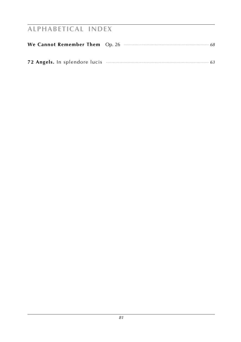# **alphabetical index**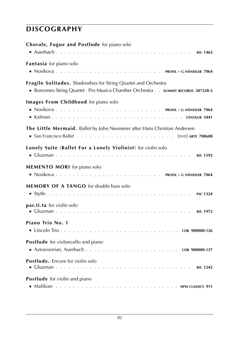## **discography**

| Chorale, Fugue and Postlude for piano solo                                                                                                      |
|-------------------------------------------------------------------------------------------------------------------------------------------------|
| Fantasia for piano solo                                                                                                                         |
| Fragile Solitudes. Shadowbox for String Quartet and Orchestra<br>Borromeo String Quartet · Pro Musica Chamber Orchestra SUMMIT RECORDS 287228-2 |
| Images From Childhood for piano solo                                                                                                            |
| The Little Mermaid. Ballet by John Neumeier after Hans Christian Andersen                                                                       |
| Lonely Suite (Ballet For a Lonely Violinist) for violin solo                                                                                    |
| <b>MEMENTO MORI</b> for piano solo                                                                                                              |
| <b>MEMORY OF A TANGO</b> for double bass solo                                                                                                   |
| par.ti.ta for violin solo                                                                                                                       |
| Piano Trio No. 1                                                                                                                                |
| Postlude for violoncello and piano                                                                                                              |
| Postlude. Encore for violin solo                                                                                                                |
| Postlude for violin and piano                                                                                                                   |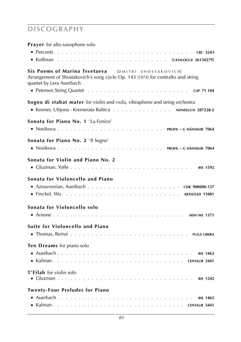### **discography**

**Prayer** for alto saxophone solo

| Six Poems of Marina Tsvetaeva [DMITRI SHOSTAKOVICH]<br>Arrangement of Shostakovich's song cycle Op. 143 (1973) for contralto and string<br>quartet by Lera Auerbach |
|---------------------------------------------------------------------------------------------------------------------------------------------------------------------|
|                                                                                                                                                                     |
| Sogno di stabat mater for violin and viola, vibraphone and string orchestra<br>Kremer, Ulijona · Kremerata Baltica NONESUCH 287228-2                                |
| Sonata for Piano No. 1 'La Fenice'                                                                                                                                  |
|                                                                                                                                                                     |
| Sonata for Piano No. 2 'Il Segno'                                                                                                                                   |
| Sonata for Violin and Piano No. 2                                                                                                                                   |
| Sonata for Violoncello and Piano                                                                                                                                    |
| Sonata for Violoncello solo                                                                                                                                         |
| Suite for Violoncello and Piano                                                                                                                                     |
| Ten Dreams for piano solo                                                                                                                                           |
| T'Filah for violin solo                                                                                                                                             |
| <b>Twenty-Four Preludes for Piano</b>                                                                                                                               |
|                                                                                                                                                                     |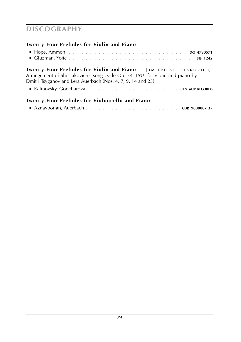## **discography**

### **Twenty-Four Preludes for Violin and Piano**

| $\blacksquare$ Hope, Ammon $\ldots \ldots \ldots \ldots \ldots \ldots \ldots \ldots \ldots \ldots \ldots$ DG 4790571 |  |  |  |  |  |  |  |  |  |  |  |  |  |  |  |  |
|----------------------------------------------------------------------------------------------------------------------|--|--|--|--|--|--|--|--|--|--|--|--|--|--|--|--|
| Gluzman, Yoffe BIS 1242                                                                                              |  |  |  |  |  |  |  |  |  |  |  |  |  |  |  |  |

**Twenty-Four Preludes for Violin and Piano** [DMITRI SHOSTAKOVICH] Arrangement of Shostakovich's song cycle Op. 34 (1933) for violin and piano by Dmitri Tsyganov and Lera Auerbach (Nos. 4, 7, 9, 14 and 23)

■ Kalinovsky, Goncharova **. . . . . . . . . . . . . . . . . . . . . . centaur records**

### **Twenty-Four Preludes for Violoncello and Piano**

|--|